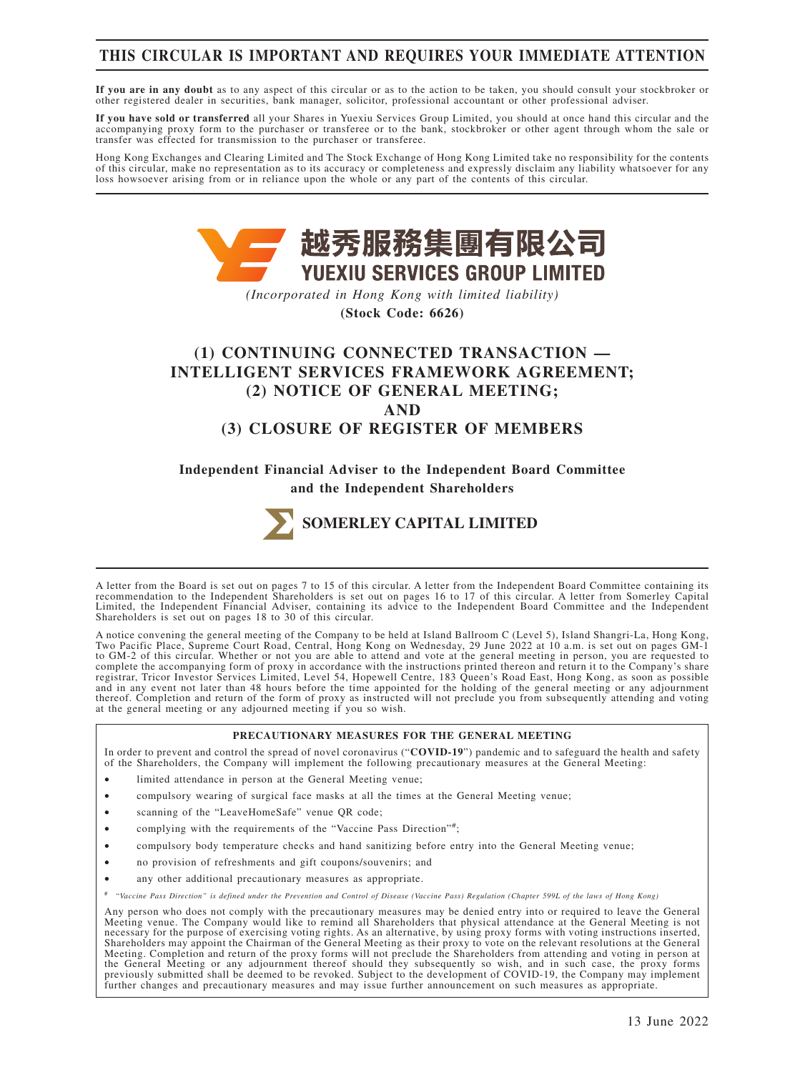# **THIS CIRCULAR IS IMPORTANT AND REQUIRES YOUR IMMEDIATE ATTENTION**

**If you are in any doubt** as to any aspect of this circular or as to the action to be taken, you should consult your stockbroker or other registered dealer in securities, bank manager, solicitor, professional accountant or other professional adviser.

**If you have sold or transferred** all your Shares in Yuexiu Services Group Limited, you should at once hand this circular and the accompanying proxy form to the purchaser or transferee or to the bank, stockbroker or other agent through whom the sale or transfer was effected for transmission to the purchaser or transferee.

Hong Kong Exchanges and Clearing Limited and The Stock Exchange of Hong Kong Limited take no responsibility for the contents of this circular, make no representation as to its accuracy or completeness and expressly disclaim any liability whatsoever for any loss howsoever arising from or in reliance upon the whole or any part of the contents of this circular.



*(Incorporated in Hong Kong with limited liability)*

**(Stock Code: 6626)**

# **(1) CONTINUING CONNECTED TRANSACTION — INTELLIGENT SERVICES FRAMEWORK AGREEMENT; (2) NOTICE OF GENERAL MEETING; AND (3) CLOSURE OF REGISTER OF MEMBERS**

**Independent Financial Adviser to the Independent Board Committee and the Independent Shareholders**



A letter from the Board is set out on pages 7 to 15 of this circular. A letter from the Independent Board Committee containing its recommendation to the Independent Shareholders is set out on pages 16 to 17 of this circular. A letter from Somerley Capital Limited, the Independent Financial Adviser, containing its advice to the Independent Board Committee and the Independent Shareholders is set out on pages 18 to 30 of this circular.

A notice convening the general meeting of the Company to be held at Island Ballroom C (Level 5), Island Shangri-La, Hong Kong, Two Pacific Place, Supreme Court Road, Central, Hong Kong on Wednesday, 29 June 2022 at 10 a.m. is set out on pages GM-1 to GM-2 of this circular. Whether or not you are able to attend and vote at the general meeting in person, you are requested to complete the accompanying form of proxy in accordance with the instructions printed thereon and return it to the Company's share<br>registrar, Tricor Investor Services Limited, Level 54, Hopewell Centre, 183 Queen's Road East and in any event not later than 48 hours before the time appointed for the holding of the general meeting or any adjournment thereof. Completion and return of the form of proxy as instructed will not preclude you from subsequently attending and voting at the general meeting or any adjourned meeting if you so wish.

#### **PRECAUTIONARY MEASURES FOR THE GENERAL MEETING**

In order to prevent and control the spread of novel coronavirus ("**COVID-19**") pandemic and to safeguard the health and safety of the Shareholders, the Company will implement the following precautionary measures at the General Meeting:

- limited attendance in person at the General Meeting venue;
- compulsory wearing of surgical face masks at all the times at the General Meeting venue;
- scanning of the "LeaveHomeSafe" venue QR code;
- complying with the requirements of the "Vaccine Pass Direction"#;
- compulsory body temperature checks and hand sanitizing before entry into the General Meeting venue;
- no provision of refreshments and gift coupons/souvenirs; and
- any other additional precautionary measures as appropriate.
- # "*Vaccine Pass Direction" is defined under the Prevention and Control of Disease (Vaccine Pass) Regulation (Chapter 599L of the laws of Hong Kong)*

Any person who does not comply with the precautionary measures may be denied entry into or required to leave the General<br>Meeting venue. The Company would like to remind all Shareholders that physical attendance at the Gene necessary for the purpose of exercising voting rights. As an alternative, by using proxy forms with voting instructions inserted, Shareholders may appoint the Chairman of the General Meeting as their proxy to vote on the relevant resolutions at the General Meeting. Completion and return of the proxy forms will not preclude the Shareholders from attending and voting in person at the General Meeting or any adjournment thereof should they subsequently so wish, and in such case, the proxy forms<br>previously submitted shall be deemed to be revoked. Subject to the development of COVID-19, the Company may further changes and precautionary measures and may issue further announcement on such measures as appropriate.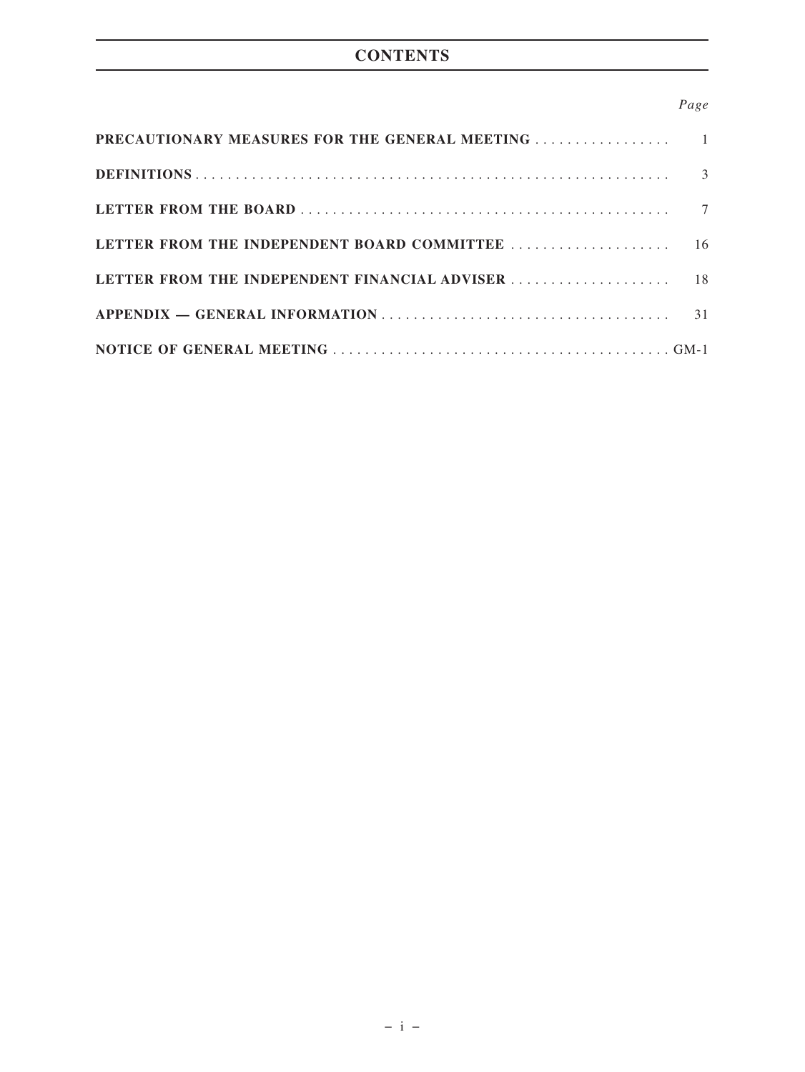# **CONTENTS**

# *Page*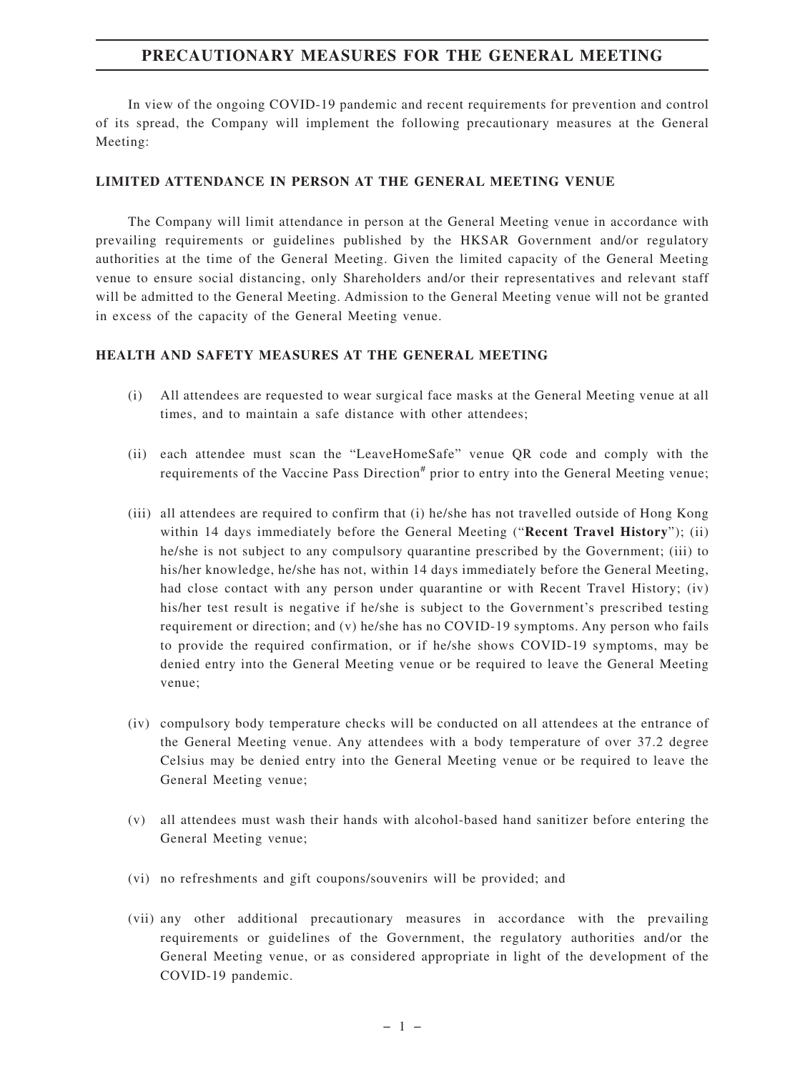# **PRECAUTIONARY MEASURES FOR THE GENERAL MEETING**

In view of the ongoing COVID-19 pandemic and recent requirements for prevention and control of its spread, the Company will implement the following precautionary measures at the General Meeting:

#### **LIMITED ATTENDANCE IN PERSON AT THE GENERAL MEETING VENUE**

The Company will limit attendance in person at the General Meeting venue in accordance with prevailing requirements or guidelines published by the HKSAR Government and/or regulatory authorities at the time of the General Meeting. Given the limited capacity of the General Meeting venue to ensure social distancing, only Shareholders and/or their representatives and relevant staff will be admitted to the General Meeting. Admission to the General Meeting venue will not be granted in excess of the capacity of the General Meeting venue.

#### **HEALTH AND SAFETY MEASURES AT THE GENERAL MEETING**

- (i) All attendees are requested to wear surgical face masks at the General Meeting venue at all times, and to maintain a safe distance with other attendees;
- (ii) each attendee must scan the "LeaveHomeSafe" venue QR code and comply with the requirements of the Vaccine Pass Direction<sup>#</sup> prior to entry into the General Meeting venue;
- (iii) all attendees are required to confirm that (i) he/she has not travelled outside of Hong Kong within 14 days immediately before the General Meeting ("**Recent Travel History**"); (ii) he/she is not subject to any compulsory quarantine prescribed by the Government; (iii) to his/her knowledge, he/she has not, within 14 days immediately before the General Meeting, had close contact with any person under quarantine or with Recent Travel History; (iv) his/her test result is negative if he/she is subject to the Government's prescribed testing requirement or direction; and (v) he/she has no COVID-19 symptoms. Any person who fails to provide the required confirmation, or if he/she shows COVID-19 symptoms, may be denied entry into the General Meeting venue or be required to leave the General Meeting venue;
- (iv) compulsory body temperature checks will be conducted on all attendees at the entrance of the General Meeting venue. Any attendees with a body temperature of over 37.2 degree Celsius may be denied entry into the General Meeting venue or be required to leave the General Meeting venue;
- (v) all attendees must wash their hands with alcohol-based hand sanitizer before entering the General Meeting venue;
- (vi) no refreshments and gift coupons/souvenirs will be provided; and
- (vii) any other additional precautionary measures in accordance with the prevailing requirements or guidelines of the Government, the regulatory authorities and/or the General Meeting venue, or as considered appropriate in light of the development of the COVID-19 pandemic.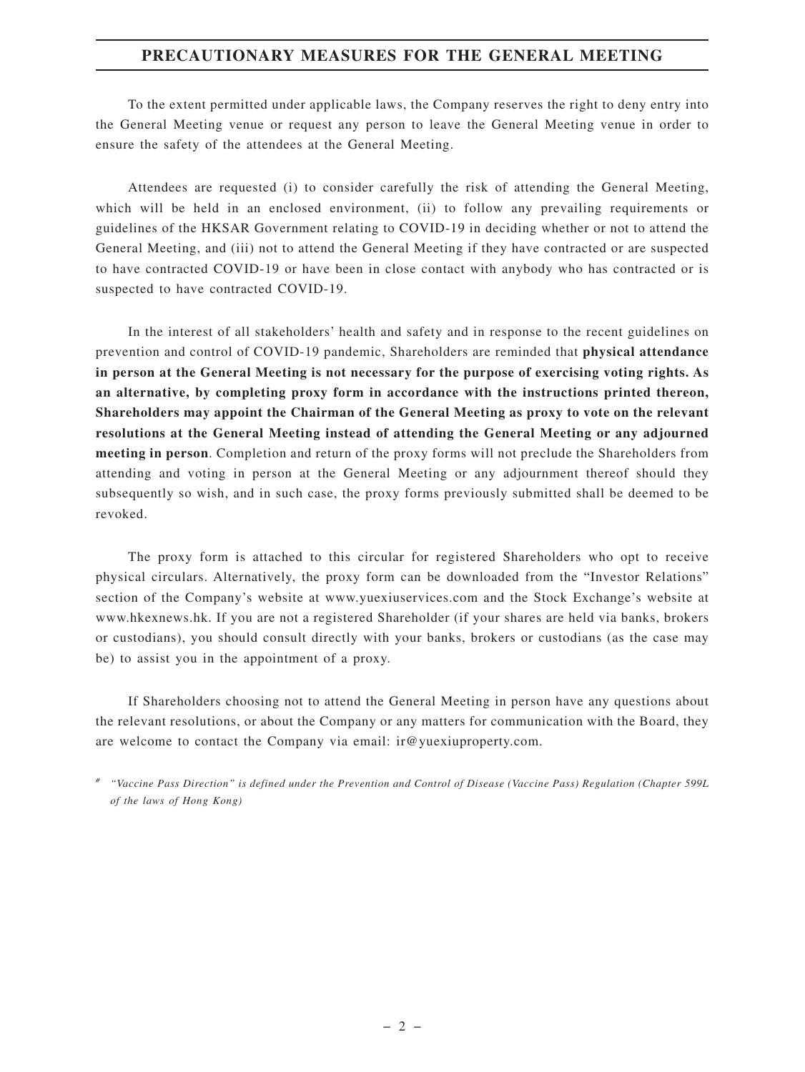# **PRECAUTIONARY MEASURES FOR THE GENERAL MEETING**

To the extent permitted under applicable laws, the Company reserves the right to deny entry into the General Meeting venue or request any person to leave the General Meeting venue in order to ensure the safety of the attendees at the General Meeting.

Attendees are requested (i) to consider carefully the risk of attending the General Meeting, which will be held in an enclosed environment, (ii) to follow any prevailing requirements or guidelines of the HKSAR Government relating to COVID-19 in deciding whether or not to attend the General Meeting, and (iii) not to attend the General Meeting if they have contracted or are suspected to have contracted COVID-19 or have been in close contact with anybody who has contracted or is suspected to have contracted COVID-19.

In the interest of all stakeholders' health and safety and in response to the recent guidelines on prevention and control of COVID-19 pandemic, Shareholders are reminded that **physical attendance in person at the General Meeting is not necessary for the purpose of exercising voting rights. As an alternative, by completing proxy form in accordance with the instructions printed thereon, Shareholders may appoint the Chairman of the General Meeting as proxy to vote on the relevant resolutions at the General Meeting instead of attending the General Meeting or any adjourned meeting in person**. Completion and return of the proxy forms will not preclude the Shareholders from attending and voting in person at the General Meeting or any adjournment thereof should they subsequently so wish, and in such case, the proxy forms previously submitted shall be deemed to be revoked.

The proxy form is attached to this circular for registered Shareholders who opt to receive physical circulars. Alternatively, the proxy form can be downloaded from the "Investor Relations" section of the Company's website at www.yuexiuservices.com and the Stock Exchange's website at www.hkexnews.hk. If you are not a registered Shareholder (if your shares are held via banks, brokers or custodians), you should consult directly with your banks, brokers or custodians (as the case may be) to assist you in the appointment of a proxy.

If Shareholders choosing not to attend the General Meeting in person have any questions about the relevant resolutions, or about the Company or any matters for communication with the Board, they are welcome to contact the Company via email: ir@yuexiuproperty.com.

*# "Vaccine Pass Direction" is defined under the Prevention and Control of Disease (Vaccine Pass) Regulation (Chapter 599L of the laws of Hong Kong)*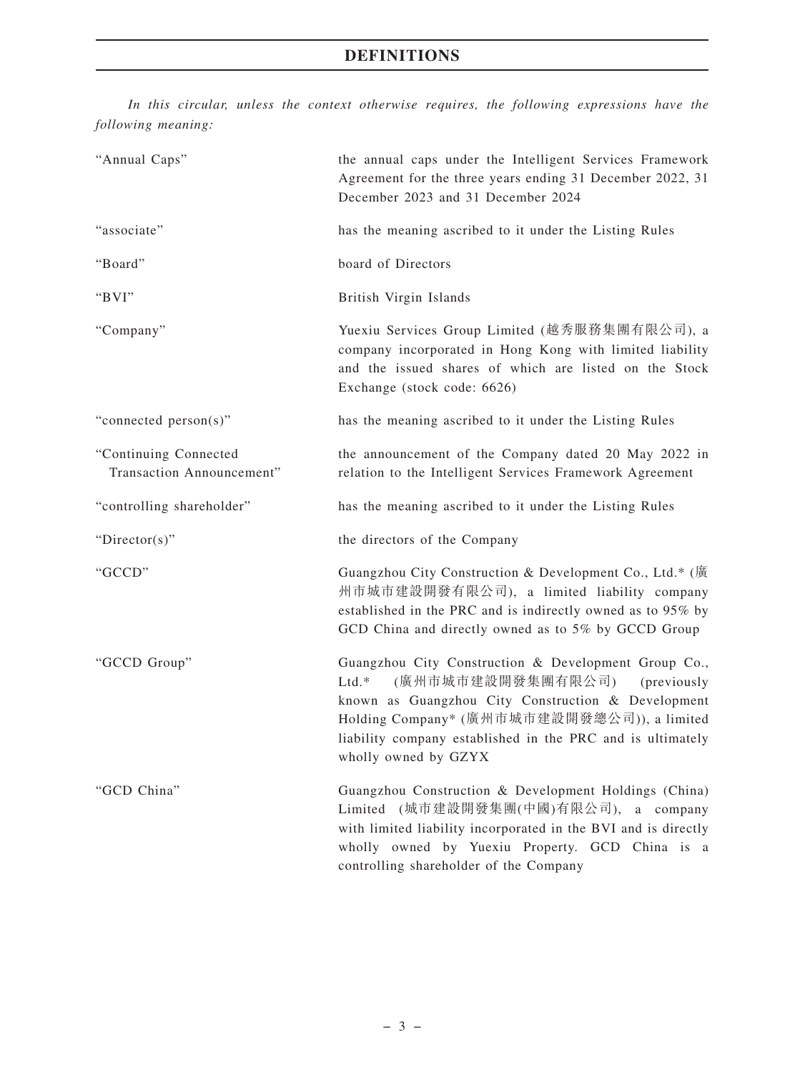*In this circular, unless the context otherwise requires, the following expressions have the following meaning:*

| "Annual Caps"                                      | the annual caps under the Intelligent Services Framework<br>Agreement for the three years ending 31 December 2022, 31<br>December 2023 and 31 December 2024                                                                                                                                    |
|----------------------------------------------------|------------------------------------------------------------------------------------------------------------------------------------------------------------------------------------------------------------------------------------------------------------------------------------------------|
| "associate"                                        | has the meaning ascribed to it under the Listing Rules                                                                                                                                                                                                                                         |
| "Board"                                            | board of Directors                                                                                                                                                                                                                                                                             |
| "BVI"                                              | British Virgin Islands                                                                                                                                                                                                                                                                         |
| "Company"                                          | Yuexiu Services Group Limited (越秀服務集團有限公司), a<br>company incorporated in Hong Kong with limited liability<br>and the issued shares of which are listed on the Stock<br>Exchange (stock code: 6626)                                                                                             |
| "connected person(s)"                              | has the meaning ascribed to it under the Listing Rules                                                                                                                                                                                                                                         |
| "Continuing Connected<br>Transaction Announcement" | the announcement of the Company dated 20 May 2022 in<br>relation to the Intelligent Services Framework Agreement                                                                                                                                                                               |
| "controlling shareholder"                          | has the meaning ascribed to it under the Listing Rules                                                                                                                                                                                                                                         |
| "Director(s)"                                      | the directors of the Company                                                                                                                                                                                                                                                                   |
| "GCCD"                                             | Guangzhou City Construction & Development Co., Ltd.* (廣<br>州市城市建設開發有限公司), a limited liability company<br>established in the PRC and is indirectly owned as to 95% by<br>GCD China and directly owned as to 5% by GCCD Group                                                                    |
| "GCCD Group"                                       | Guangzhou City Construction & Development Group Co.,<br>(廣州市城市建設開發集團有限公司)<br>$Ltd.*$<br>(previously<br>known as Guangzhou City Construction & Development<br>Holding Company* (廣州市城市建設開發總公司)), a limited<br>liability company established in the PRC and is ultimately<br>wholly owned by GZYX |
| "GCD China"                                        | Guangzhou Construction & Development Holdings (China)<br>Limited (城市建設開發集團(中國)有限公司),<br>a company<br>with limited liability incorporated in the BVI and is directly<br>wholly owned by Yuexiu Property. GCD China is a<br>controlling shareholder of the Company                               |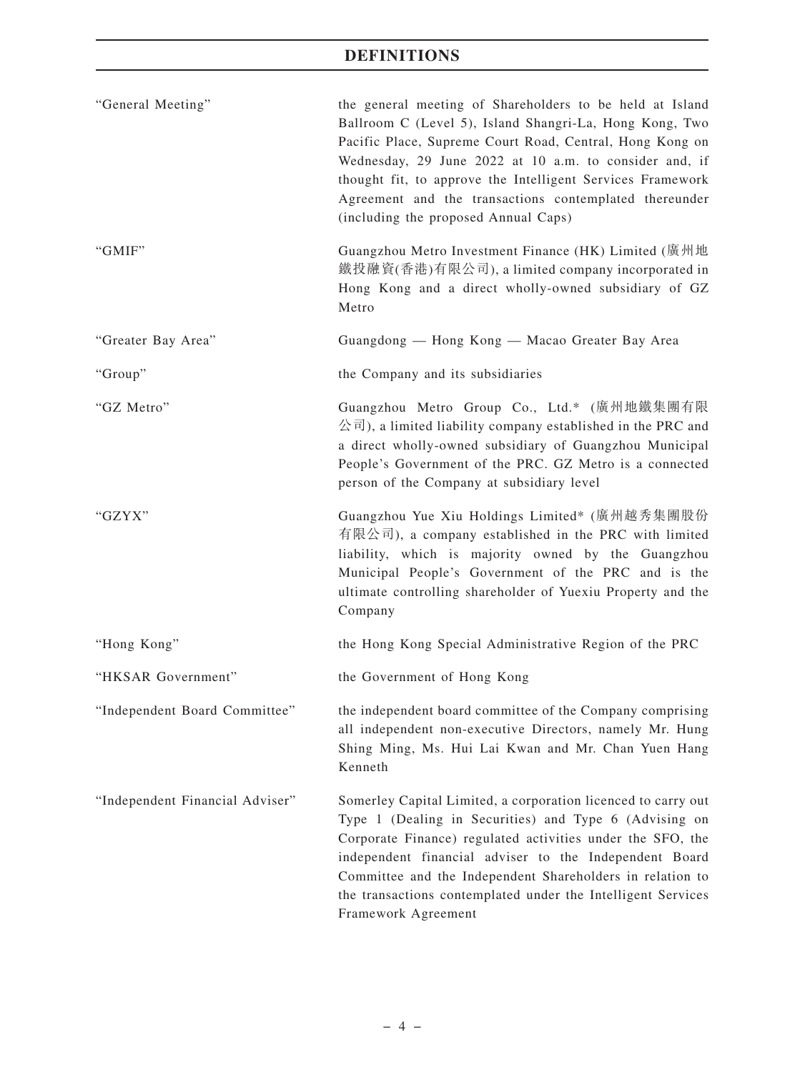| "General Meeting"               | the general meeting of Shareholders to be held at Island<br>Ballroom C (Level 5), Island Shangri-La, Hong Kong, Two<br>Pacific Place, Supreme Court Road, Central, Hong Kong on<br>Wednesday, 29 June 2022 at 10 a.m. to consider and, if<br>thought fit, to approve the Intelligent Services Framework<br>Agreement and the transactions contemplated thereunder<br>(including the proposed Annual Caps) |
|---------------------------------|-----------------------------------------------------------------------------------------------------------------------------------------------------------------------------------------------------------------------------------------------------------------------------------------------------------------------------------------------------------------------------------------------------------|
| "GMIF"                          | Guangzhou Metro Investment Finance (HK) Limited (廣州地<br>鐵投融資(香港)有限公司), a limited company incorporated in<br>Hong Kong and a direct wholly-owned subsidiary of GZ<br>Metro                                                                                                                                                                                                                                 |
| "Greater Bay Area"              | Guangdong — Hong Kong — Macao Greater Bay Area                                                                                                                                                                                                                                                                                                                                                            |
| "Group"                         | the Company and its subsidiaries                                                                                                                                                                                                                                                                                                                                                                          |
| "GZ Metro"                      | Guangzhou Metro Group Co., Ltd.* (廣州地鐵集團有限<br>公司), a limited liability company established in the PRC and<br>a direct wholly-owned subsidiary of Guangzhou Municipal<br>People's Government of the PRC. GZ Metro is a connected<br>person of the Company at subsidiary level                                                                                                                              |
| "GZYX"                          | Guangzhou Yue Xiu Holdings Limited* (廣州越秀集團股份<br>有限公司), a company established in the PRC with limited<br>liability, which is majority owned by the Guangzhou<br>Municipal People's Government of the PRC and is the<br>ultimate controlling shareholder of Yuexiu Property and the<br>Company                                                                                                             |
| "Hong Kong"                     | the Hong Kong Special Administrative Region of the PRC                                                                                                                                                                                                                                                                                                                                                    |
| "HKSAR Government"              | the Government of Hong Kong                                                                                                                                                                                                                                                                                                                                                                               |
| "Independent Board Committee"   | the independent board committee of the Company comprising<br>all independent non-executive Directors, namely Mr. Hung<br>Shing Ming, Ms. Hui Lai Kwan and Mr. Chan Yuen Hang<br>Kenneth                                                                                                                                                                                                                   |
| "Independent Financial Adviser" | Somerley Capital Limited, a corporation licenced to carry out<br>Type 1 (Dealing in Securities) and Type 6 (Advising on<br>Corporate Finance) regulated activities under the SFO, the<br>independent financial adviser to the Independent Board<br>Committee and the Independent Shareholders in relation to<br>the transactions contemplated under the Intelligent Services<br>Framework Agreement       |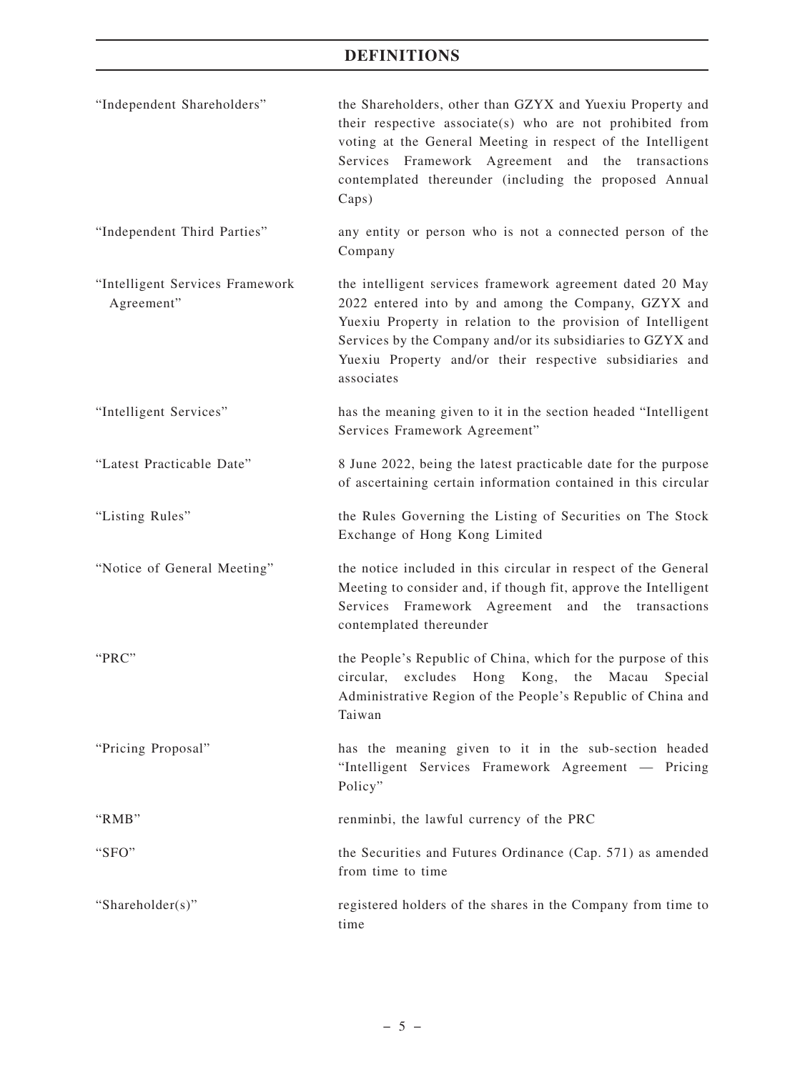| "Independent Shareholders"                    | the Shareholders, other than GZYX and Yuexiu Property and<br>their respective associate(s) who are not prohibited from<br>voting at the General Meeting in respect of the Intelligent<br>Services Framework Agreement and the transactions<br>contemplated thereunder (including the proposed Annual<br>Caps)             |
|-----------------------------------------------|---------------------------------------------------------------------------------------------------------------------------------------------------------------------------------------------------------------------------------------------------------------------------------------------------------------------------|
| "Independent Third Parties"                   | any entity or person who is not a connected person of the<br>Company                                                                                                                                                                                                                                                      |
| "Intelligent Services Framework<br>Agreement" | the intelligent services framework agreement dated 20 May<br>2022 entered into by and among the Company, GZYX and<br>Yuexiu Property in relation to the provision of Intelligent<br>Services by the Company and/or its subsidiaries to GZYX and<br>Yuexiu Property and/or their respective subsidiaries and<br>associates |
| "Intelligent Services"                        | has the meaning given to it in the section headed "Intelligent<br>Services Framework Agreement"                                                                                                                                                                                                                           |
| "Latest Practicable Date"                     | 8 June 2022, being the latest practicable date for the purpose<br>of ascertaining certain information contained in this circular                                                                                                                                                                                          |
| "Listing Rules"                               | the Rules Governing the Listing of Securities on The Stock<br>Exchange of Hong Kong Limited                                                                                                                                                                                                                               |
| "Notice of General Meeting"                   | the notice included in this circular in respect of the General<br>Meeting to consider and, if though fit, approve the Intelligent<br>Services Framework Agreement and the transactions<br>contemplated thereunder                                                                                                         |
| "PRC"                                         | the People's Republic of China, which for the purpose of this<br>Hong Kong,<br>the<br>circular,<br>excludes<br>Macau<br>Special<br>Administrative Region of the People's Republic of China and<br>Taiwan                                                                                                                  |
| "Pricing Proposal"                            | has the meaning given to it in the sub-section headed<br>"Intelligent Services Framework Agreement — Pricing<br>Policy"                                                                                                                                                                                                   |
| "RMB"                                         | renminbi, the lawful currency of the PRC                                                                                                                                                                                                                                                                                  |
| "SFO"                                         | the Securities and Futures Ordinance (Cap. 571) as amended<br>from time to time                                                                                                                                                                                                                                           |
| "Shareholder(s)"                              | registered holders of the shares in the Company from time to<br>time                                                                                                                                                                                                                                                      |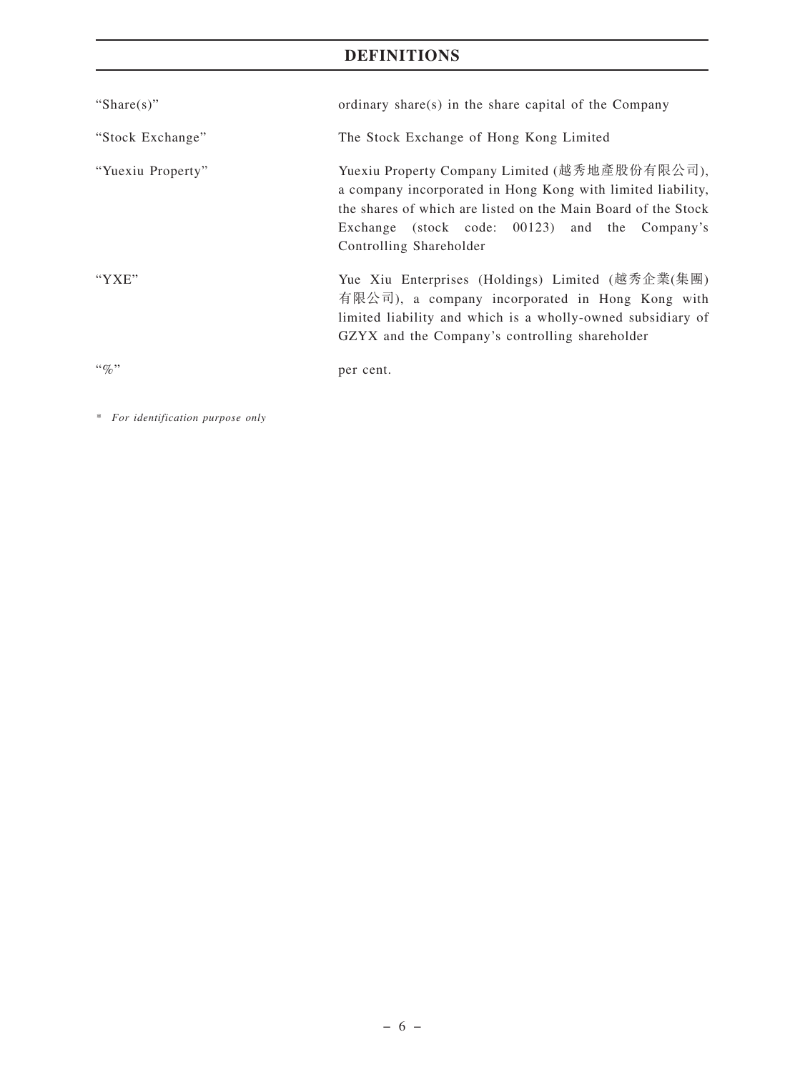| "Share $(s)$ "    | ordinary share(s) in the share capital of the Company                                                                                                                                                                                                      |
|-------------------|------------------------------------------------------------------------------------------------------------------------------------------------------------------------------------------------------------------------------------------------------------|
| "Stock Exchange"  | The Stock Exchange of Hong Kong Limited                                                                                                                                                                                                                    |
| "Yuexiu Property" | Yuexiu Property Company Limited (越秀地產股份有限公司),<br>a company incorporated in Hong Kong with limited liability,<br>the shares of which are listed on the Main Board of the Stock<br>Exchange (stock code: 00123) and the Company's<br>Controlling Shareholder |
| "YXE"             | Yue Xiu Enterprises (Holdings) Limited (越秀企業(集團)<br>有限公司), a company incorporated in Hong Kong with<br>limited liability and which is a wholly-owned subsidiary of<br>GZYX and the Company's controlling shareholder                                       |
| $\lq q_0$ "       | per cent.                                                                                                                                                                                                                                                  |

*\* For identification purpose only*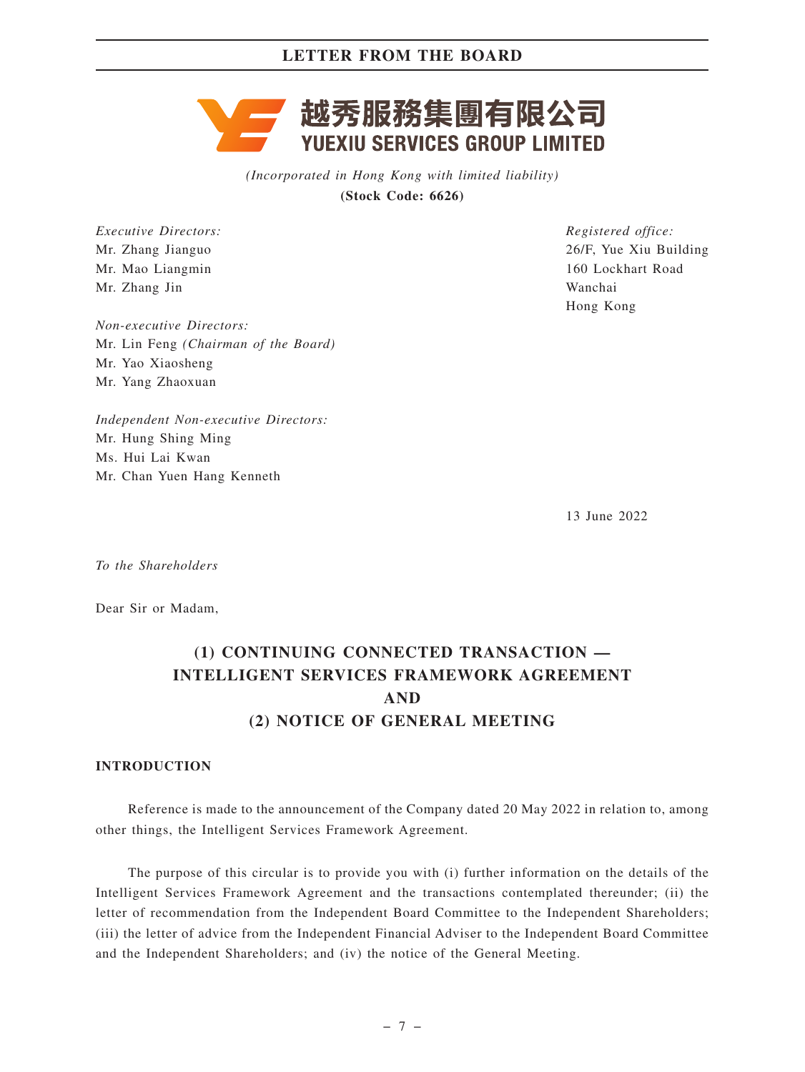# 越秀服務集團有限公司 **YUEXIU SERVICES GROUP LIMITED**

*(Incorporated in Hong Kong with limited liability)* **(Stock Code: 6626)**

*Executive Directors:* Mr. Zhang Jianguo Mr. Mao Liangmin Mr. Zhang Jin

*Non-executive Directors:* Mr. Lin Feng *(Chairman of the Board)* Mr. Yao Xiaosheng Mr. Yang Zhaoxuan

*Independent Non-executive Directors:* Mr. Hung Shing Ming Ms. Hui Lai Kwan Mr. Chan Yuen Hang Kenneth

*Registered office:* 26/F, Yue Xiu Building 160 Lockhart Road Wanchai Hong Kong

13 June 2022

*To the Shareholders*

Dear Sir or Madam,

# **(1) CONTINUING CONNECTED TRANSACTION — INTELLIGENT SERVICES FRAMEWORK AGREEMENT AND (2) NOTICE OF GENERAL MEETING**

#### **INTRODUCTION**

Reference is made to the announcement of the Company dated 20 May 2022 in relation to, among other things, the Intelligent Services Framework Agreement.

The purpose of this circular is to provide you with (i) further information on the details of the Intelligent Services Framework Agreement and the transactions contemplated thereunder; (ii) the letter of recommendation from the Independent Board Committee to the Independent Shareholders; (iii) the letter of advice from the Independent Financial Adviser to the Independent Board Committee and the Independent Shareholders; and (iv) the notice of the General Meeting.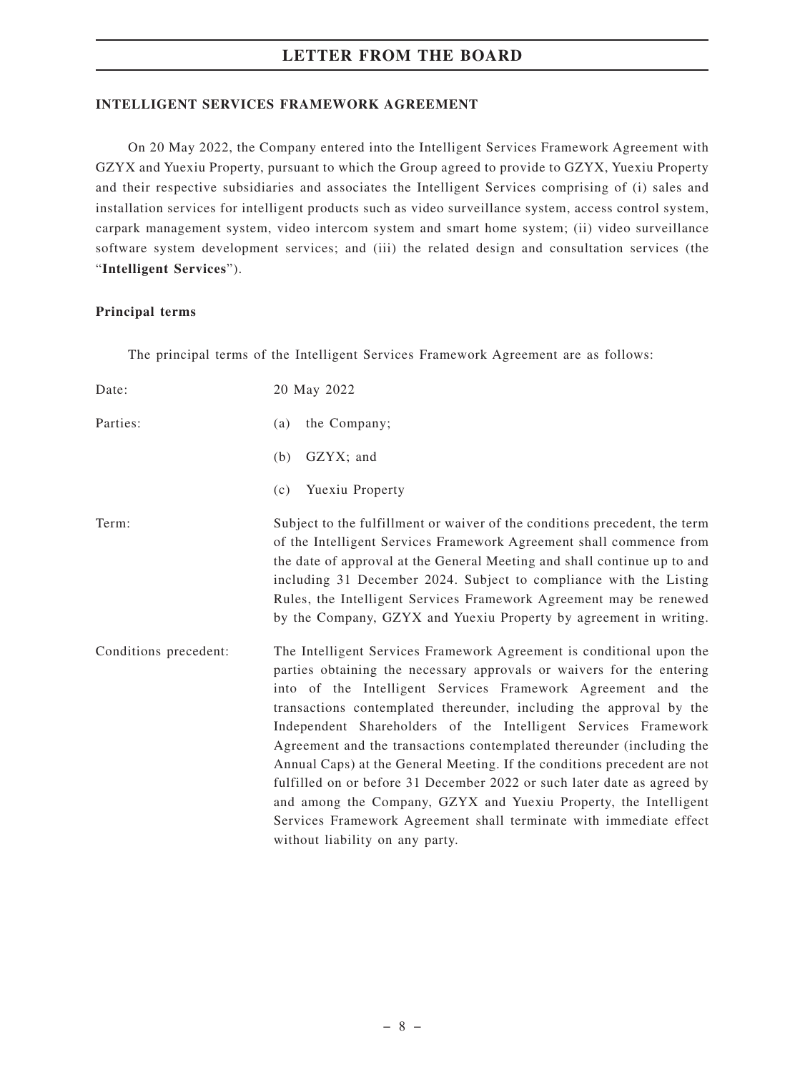#### **INTELLIGENT SERVICES FRAMEWORK AGREEMENT**

On 20 May 2022, the Company entered into the Intelligent Services Framework Agreement with GZYX and Yuexiu Property, pursuant to which the Group agreed to provide to GZYX, Yuexiu Property and their respective subsidiaries and associates the Intelligent Services comprising of (i) sales and installation services for intelligent products such as video surveillance system, access control system, carpark management system, video intercom system and smart home system; (ii) video surveillance software system development services; and (iii) the related design and consultation services (the "**Intelligent Services**").

#### **Principal terms**

The principal terms of the Intelligent Services Framework Agreement are as follows:

| Date:                 | 20 May 2022                                                                                                                                                                                                                                                                                                                                                                                                                                                                                                                                                                                                                                                                                                                                                         |
|-----------------------|---------------------------------------------------------------------------------------------------------------------------------------------------------------------------------------------------------------------------------------------------------------------------------------------------------------------------------------------------------------------------------------------------------------------------------------------------------------------------------------------------------------------------------------------------------------------------------------------------------------------------------------------------------------------------------------------------------------------------------------------------------------------|
| Parties:              | the Company;<br>(a)                                                                                                                                                                                                                                                                                                                                                                                                                                                                                                                                                                                                                                                                                                                                                 |
|                       | GZYX; and<br>(b)                                                                                                                                                                                                                                                                                                                                                                                                                                                                                                                                                                                                                                                                                                                                                    |
|                       | Yuexiu Property<br>(c)                                                                                                                                                                                                                                                                                                                                                                                                                                                                                                                                                                                                                                                                                                                                              |
| Term:                 | Subject to the fulfillment or waiver of the conditions precedent, the term<br>of the Intelligent Services Framework Agreement shall commence from<br>the date of approval at the General Meeting and shall continue up to and<br>including 31 December 2024. Subject to compliance with the Listing<br>Rules, the Intelligent Services Framework Agreement may be renewed<br>by the Company, GZYX and Yuexiu Property by agreement in writing.                                                                                                                                                                                                                                                                                                                      |
| Conditions precedent: | The Intelligent Services Framework Agreement is conditional upon the<br>parties obtaining the necessary approvals or waivers for the entering<br>into of the Intelligent Services Framework Agreement and the<br>transactions contemplated thereunder, including the approval by the<br>Independent Shareholders of the Intelligent Services Framework<br>Agreement and the transactions contemplated thereunder (including the<br>Annual Caps) at the General Meeting. If the conditions precedent are not<br>fulfilled on or before 31 December 2022 or such later date as agreed by<br>and among the Company, GZYX and Yuexiu Property, the Intelligent<br>Services Framework Agreement shall terminate with immediate effect<br>without liability on any party. |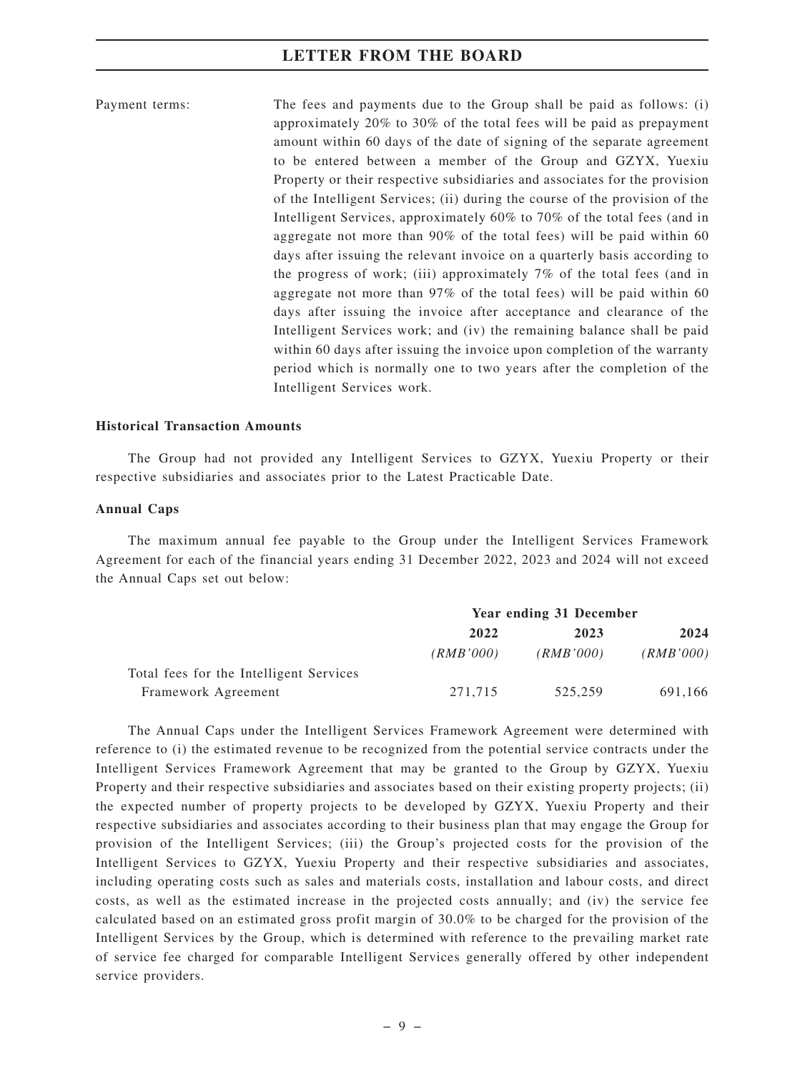Payment terms: The fees and payments due to the Group shall be paid as follows: (i) approximately 20% to 30% of the total fees will be paid as prepayment amount within 60 days of the date of signing of the separate agreement to be entered between a member of the Group and GZYX, Yuexiu Property or their respective subsidiaries and associates for the provision of the Intelligent Services; (ii) during the course of the provision of the Intelligent Services, approximately 60% to 70% of the total fees (and in aggregate not more than 90% of the total fees) will be paid within 60 days after issuing the relevant invoice on a quarterly basis according to the progress of work; (iii) approximately 7% of the total fees (and in aggregate not more than 97% of the total fees) will be paid within 60 days after issuing the invoice after acceptance and clearance of the Intelligent Services work; and (iv) the remaining balance shall be paid within 60 days after issuing the invoice upon completion of the warranty period which is normally one to two years after the completion of the Intelligent Services work.

#### **Historical Transaction Amounts**

The Group had not provided any Intelligent Services to GZYX, Yuexiu Property or their respective subsidiaries and associates prior to the Latest Practicable Date.

#### **Annual Caps**

The maximum annual fee payable to the Group under the Intelligent Services Framework Agreement for each of the financial years ending 31 December 2022, 2023 and 2024 will not exceed the Annual Caps set out below:

|                                         | Year ending 31 December |           |           |
|-----------------------------------------|-------------------------|-----------|-----------|
|                                         | 2022                    | 2023      | 2024      |
|                                         | (RMB'000)               | (RMB'000) | (RMB'000) |
| Total fees for the Intelligent Services |                         |           |           |
| Framework Agreement                     | 271,715                 | 525,259   | 691,166   |

The Annual Caps under the Intelligent Services Framework Agreement were determined with reference to (i) the estimated revenue to be recognized from the potential service contracts under the Intelligent Services Framework Agreement that may be granted to the Group by GZYX, Yuexiu Property and their respective subsidiaries and associates based on their existing property projects; (ii) the expected number of property projects to be developed by GZYX, Yuexiu Property and their respective subsidiaries and associates according to their business plan that may engage the Group for provision of the Intelligent Services; (iii) the Group's projected costs for the provision of the Intelligent Services to GZYX, Yuexiu Property and their respective subsidiaries and associates, including operating costs such as sales and materials costs, installation and labour costs, and direct costs, as well as the estimated increase in the projected costs annually; and (iv) the service fee calculated based on an estimated gross profit margin of 30.0% to be charged for the provision of the Intelligent Services by the Group, which is determined with reference to the prevailing market rate of service fee charged for comparable Intelligent Services generally offered by other independent service providers.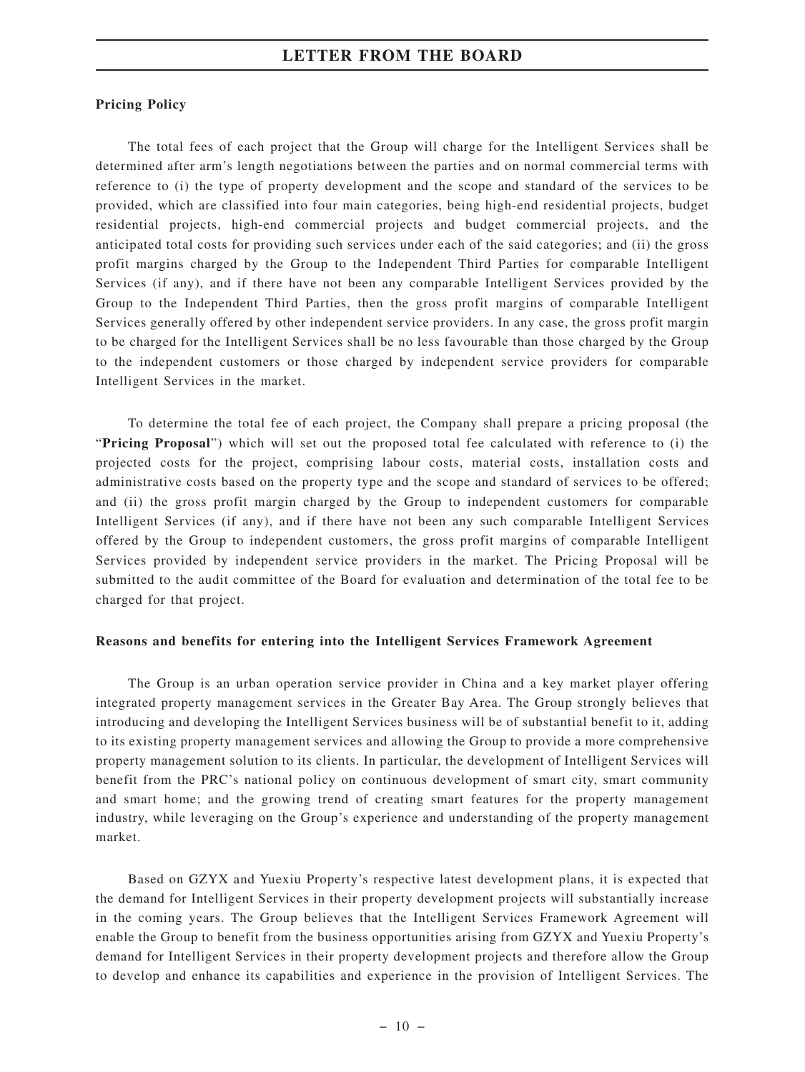#### **Pricing Policy**

The total fees of each project that the Group will charge for the Intelligent Services shall be determined after arm's length negotiations between the parties and on normal commercial terms with reference to (i) the type of property development and the scope and standard of the services to be provided, which are classified into four main categories, being high-end residential projects, budget residential projects, high-end commercial projects and budget commercial projects, and the anticipated total costs for providing such services under each of the said categories; and (ii) the gross profit margins charged by the Group to the Independent Third Parties for comparable Intelligent Services (if any), and if there have not been any comparable Intelligent Services provided by the Group to the Independent Third Parties, then the gross profit margins of comparable Intelligent Services generally offered by other independent service providers. In any case, the gross profit margin to be charged for the Intelligent Services shall be no less favourable than those charged by the Group to the independent customers or those charged by independent service providers for comparable Intelligent Services in the market.

To determine the total fee of each project, the Company shall prepare a pricing proposal (the "**Pricing Proposal**") which will set out the proposed total fee calculated with reference to (i) the projected costs for the project, comprising labour costs, material costs, installation costs and administrative costs based on the property type and the scope and standard of services to be offered; and (ii) the gross profit margin charged by the Group to independent customers for comparable Intelligent Services (if any), and if there have not been any such comparable Intelligent Services offered by the Group to independent customers, the gross profit margins of comparable Intelligent Services provided by independent service providers in the market. The Pricing Proposal will be submitted to the audit committee of the Board for evaluation and determination of the total fee to be charged for that project.

#### **Reasons and benefits for entering into the Intelligent Services Framework Agreement**

The Group is an urban operation service provider in China and a key market player offering integrated property management services in the Greater Bay Area. The Group strongly believes that introducing and developing the Intelligent Services business will be of substantial benefit to it, adding to its existing property management services and allowing the Group to provide a more comprehensive property management solution to its clients. In particular, the development of Intelligent Services will benefit from the PRC's national policy on continuous development of smart city, smart community and smart home; and the growing trend of creating smart features for the property management industry, while leveraging on the Group's experience and understanding of the property management market.

Based on GZYX and Yuexiu Property's respective latest development plans, it is expected that the demand for Intelligent Services in their property development projects will substantially increase in the coming years. The Group believes that the Intelligent Services Framework Agreement will enable the Group to benefit from the business opportunities arising from GZYX and Yuexiu Property's demand for Intelligent Services in their property development projects and therefore allow the Group to develop and enhance its capabilities and experience in the provision of Intelligent Services. The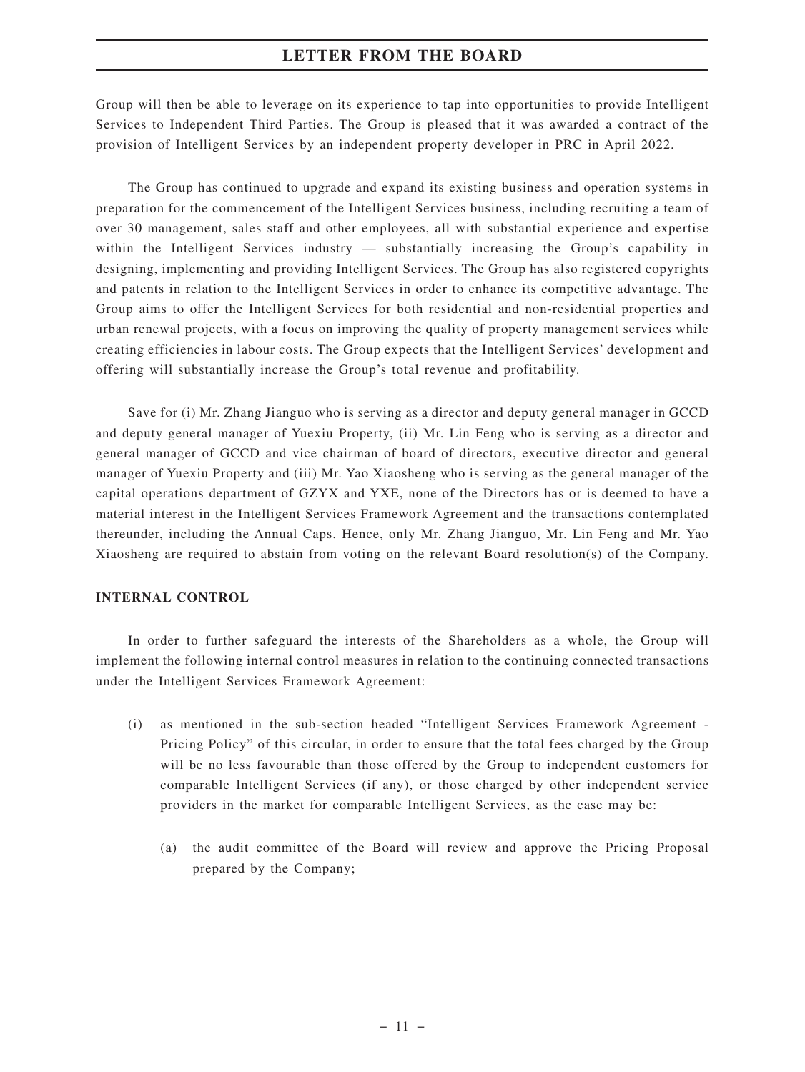Group will then be able to leverage on its experience to tap into opportunities to provide Intelligent Services to Independent Third Parties. The Group is pleased that it was awarded a contract of the provision of Intelligent Services by an independent property developer in PRC in April 2022.

The Group has continued to upgrade and expand its existing business and operation systems in preparation for the commencement of the Intelligent Services business, including recruiting a team of over 30 management, sales staff and other employees, all with substantial experience and expertise within the Intelligent Services industry — substantially increasing the Group's capability in designing, implementing and providing Intelligent Services. The Group has also registered copyrights and patents in relation to the Intelligent Services in order to enhance its competitive advantage. The Group aims to offer the Intelligent Services for both residential and non-residential properties and urban renewal projects, with a focus on improving the quality of property management services while creating efficiencies in labour costs. The Group expects that the Intelligent Services' development and offering will substantially increase the Group's total revenue and profitability.

Save for (i) Mr. Zhang Jianguo who is serving as a director and deputy general manager in GCCD and deputy general manager of Yuexiu Property, (ii) Mr. Lin Feng who is serving as a director and general manager of GCCD and vice chairman of board of directors, executive director and general manager of Yuexiu Property and (iii) Mr. Yao Xiaosheng who is serving as the general manager of the capital operations department of GZYX and YXE, none of the Directors has or is deemed to have a material interest in the Intelligent Services Framework Agreement and the transactions contemplated thereunder, including the Annual Caps. Hence, only Mr. Zhang Jianguo, Mr. Lin Feng and Mr. Yao Xiaosheng are required to abstain from voting on the relevant Board resolution(s) of the Company.

#### **INTERNAL CONTROL**

In order to further safeguard the interests of the Shareholders as a whole, the Group will implement the following internal control measures in relation to the continuing connected transactions under the Intelligent Services Framework Agreement:

- (i) as mentioned in the sub-section headed "Intelligent Services Framework Agreement Pricing Policy" of this circular, in order to ensure that the total fees charged by the Group will be no less favourable than those offered by the Group to independent customers for comparable Intelligent Services (if any), or those charged by other independent service providers in the market for comparable Intelligent Services, as the case may be:
	- (a) the audit committee of the Board will review and approve the Pricing Proposal prepared by the Company;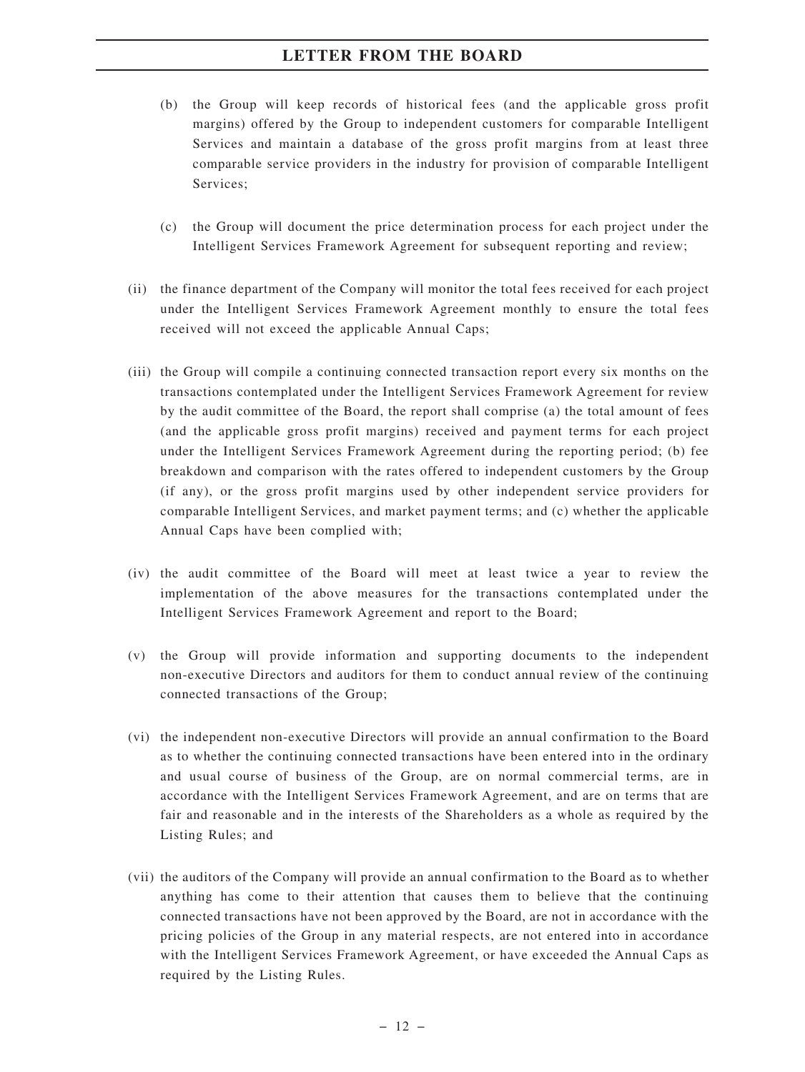- (b) the Group will keep records of historical fees (and the applicable gross profit margins) offered by the Group to independent customers for comparable Intelligent Services and maintain a database of the gross profit margins from at least three comparable service providers in the industry for provision of comparable Intelligent Services;
- (c) the Group will document the price determination process for each project under the Intelligent Services Framework Agreement for subsequent reporting and review;
- (ii) the finance department of the Company will monitor the total fees received for each project under the Intelligent Services Framework Agreement monthly to ensure the total fees received will not exceed the applicable Annual Caps;
- (iii) the Group will compile a continuing connected transaction report every six months on the transactions contemplated under the Intelligent Services Framework Agreement for review by the audit committee of the Board, the report shall comprise (a) the total amount of fees (and the applicable gross profit margins) received and payment terms for each project under the Intelligent Services Framework Agreement during the reporting period; (b) fee breakdown and comparison with the rates offered to independent customers by the Group (if any), or the gross profit margins used by other independent service providers for comparable Intelligent Services, and market payment terms; and (c) whether the applicable Annual Caps have been complied with;
- (iv) the audit committee of the Board will meet at least twice a year to review the implementation of the above measures for the transactions contemplated under the Intelligent Services Framework Agreement and report to the Board;
- (v) the Group will provide information and supporting documents to the independent non-executive Directors and auditors for them to conduct annual review of the continuing connected transactions of the Group;
- (vi) the independent non-executive Directors will provide an annual confirmation to the Board as to whether the continuing connected transactions have been entered into in the ordinary and usual course of business of the Group, are on normal commercial terms, are in accordance with the Intelligent Services Framework Agreement, and are on terms that are fair and reasonable and in the interests of the Shareholders as a whole as required by the Listing Rules; and
- (vii) the auditors of the Company will provide an annual confirmation to the Board as to whether anything has come to their attention that causes them to believe that the continuing connected transactions have not been approved by the Board, are not in accordance with the pricing policies of the Group in any material respects, are not entered into in accordance with the Intelligent Services Framework Agreement, or have exceeded the Annual Caps as required by the Listing Rules.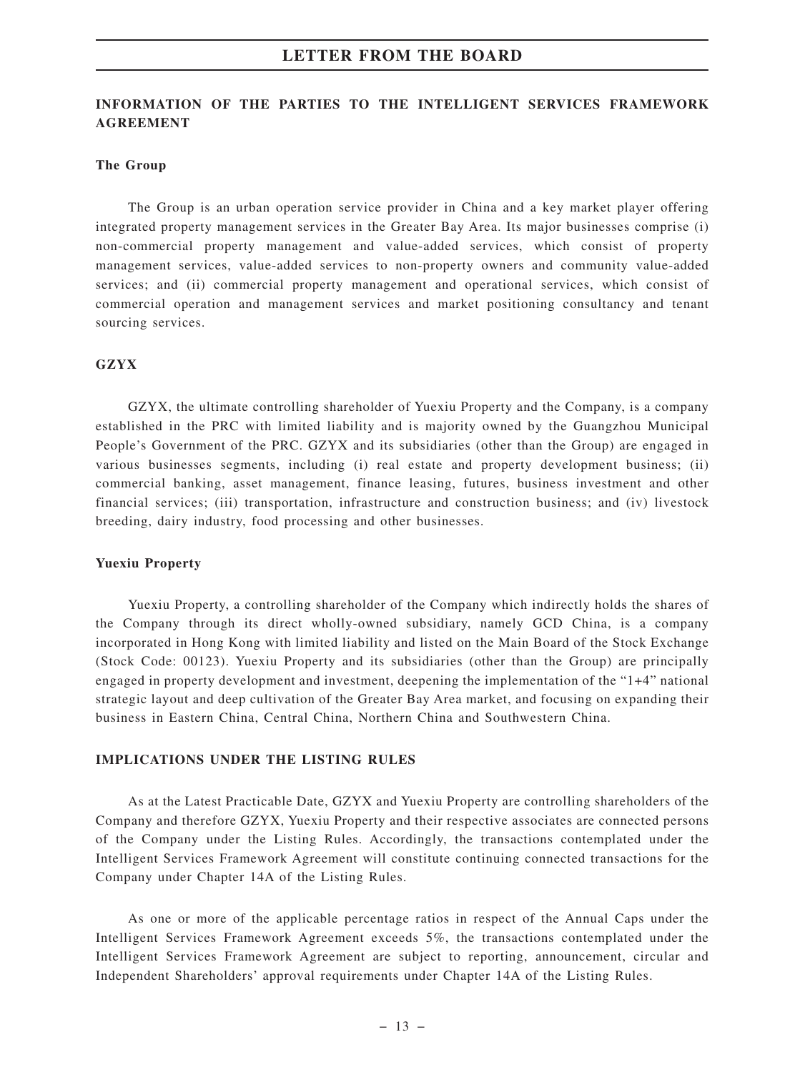#### **INFORMATION OF THE PARTIES TO THE INTELLIGENT SERVICES FRAMEWORK AGREEMENT**

#### **The Group**

The Group is an urban operation service provider in China and a key market player offering integrated property management services in the Greater Bay Area. Its major businesses comprise (i) non-commercial property management and value-added services, which consist of property management services, value-added services to non-property owners and community value-added services; and (ii) commercial property management and operational services, which consist of commercial operation and management services and market positioning consultancy and tenant sourcing services.

#### **GZYX**

GZYX, the ultimate controlling shareholder of Yuexiu Property and the Company, is a company established in the PRC with limited liability and is majority owned by the Guangzhou Municipal People's Government of the PRC. GZYX and its subsidiaries (other than the Group) are engaged in various businesses segments, including (i) real estate and property development business; (ii) commercial banking, asset management, finance leasing, futures, business investment and other financial services; (iii) transportation, infrastructure and construction business; and (iv) livestock breeding, dairy industry, food processing and other businesses.

#### **Yuexiu Property**

Yuexiu Property, a controlling shareholder of the Company which indirectly holds the shares of the Company through its direct wholly-owned subsidiary, namely GCD China, is a company incorporated in Hong Kong with limited liability and listed on the Main Board of the Stock Exchange (Stock Code: 00123). Yuexiu Property and its subsidiaries (other than the Group) are principally engaged in property development and investment, deepening the implementation of the "1+4" national strategic layout and deep cultivation of the Greater Bay Area market, and focusing on expanding their business in Eastern China, Central China, Northern China and Southwestern China.

### **IMPLICATIONS UNDER THE LISTING RULES**

As at the Latest Practicable Date, GZYX and Yuexiu Property are controlling shareholders of the Company and therefore GZYX, Yuexiu Property and their respective associates are connected persons of the Company under the Listing Rules. Accordingly, the transactions contemplated under the Intelligent Services Framework Agreement will constitute continuing connected transactions for the Company under Chapter 14A of the Listing Rules.

As one or more of the applicable percentage ratios in respect of the Annual Caps under the Intelligent Services Framework Agreement exceeds 5%, the transactions contemplated under the Intelligent Services Framework Agreement are subject to reporting, announcement, circular and Independent Shareholders' approval requirements under Chapter 14A of the Listing Rules.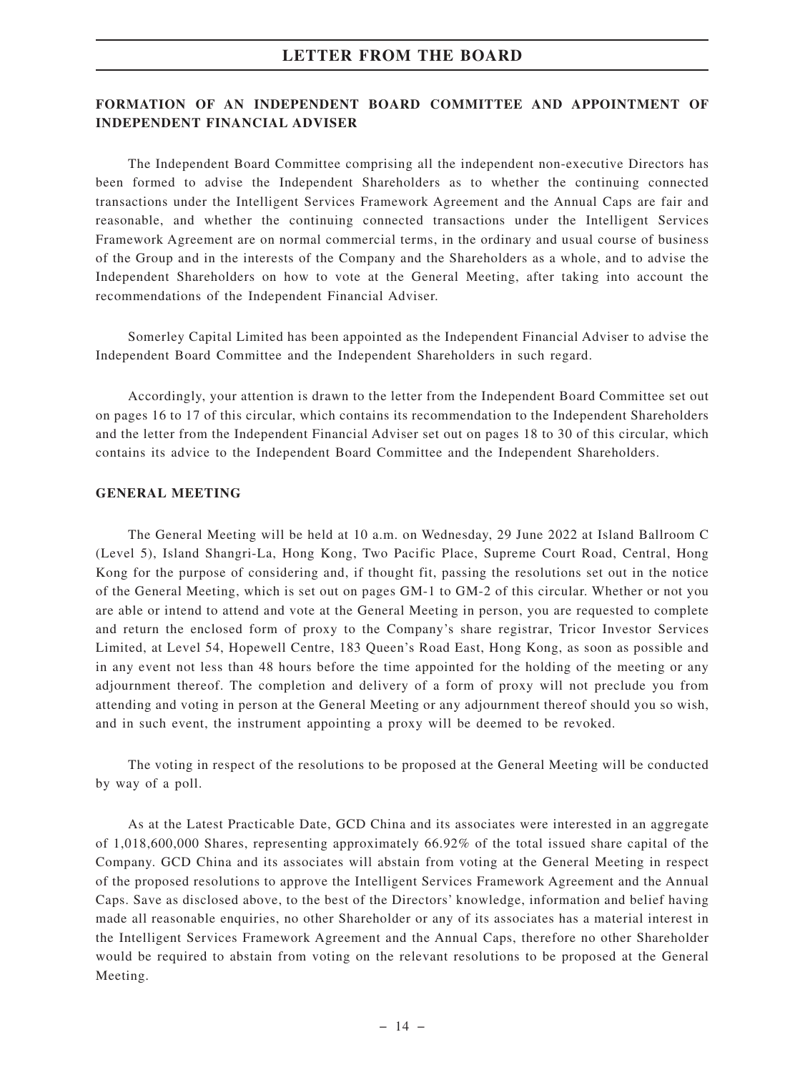### **FORMATION OF AN INDEPENDENT BOARD COMMITTEE AND APPOINTMENT OF INDEPENDENT FINANCIAL ADVISER**

The Independent Board Committee comprising all the independent non-executive Directors has been formed to advise the Independent Shareholders as to whether the continuing connected transactions under the Intelligent Services Framework Agreement and the Annual Caps are fair and reasonable, and whether the continuing connected transactions under the Intelligent Services Framework Agreement are on normal commercial terms, in the ordinary and usual course of business of the Group and in the interests of the Company and the Shareholders as a whole, and to advise the Independent Shareholders on how to vote at the General Meeting, after taking into account the recommendations of the Independent Financial Adviser.

Somerley Capital Limited has been appointed as the Independent Financial Adviser to advise the Independent Board Committee and the Independent Shareholders in such regard.

Accordingly, your attention is drawn to the letter from the Independent Board Committee set out on pages 16 to 17 of this circular, which contains its recommendation to the Independent Shareholders and the letter from the Independent Financial Adviser set out on pages 18 to 30 of this circular, which contains its advice to the Independent Board Committee and the Independent Shareholders.

#### **GENERAL MEETING**

The General Meeting will be held at 10 a.m. on Wednesday, 29 June 2022 at Island Ballroom C (Level 5), Island Shangri-La, Hong Kong, Two Pacific Place, Supreme Court Road, Central, Hong Kong for the purpose of considering and, if thought fit, passing the resolutions set out in the notice of the General Meeting, which is set out on pages GM-1 to GM-2 of this circular. Whether or not you are able or intend to attend and vote at the General Meeting in person, you are requested to complete and return the enclosed form of proxy to the Company's share registrar, Tricor Investor Services Limited, at Level 54, Hopewell Centre, 183 Queen's Road East, Hong Kong, as soon as possible and in any event not less than 48 hours before the time appointed for the holding of the meeting or any adjournment thereof. The completion and delivery of a form of proxy will not preclude you from attending and voting in person at the General Meeting or any adjournment thereof should you so wish, and in such event, the instrument appointing a proxy will be deemed to be revoked.

The voting in respect of the resolutions to be proposed at the General Meeting will be conducted by way of a poll.

As at the Latest Practicable Date, GCD China and its associates were interested in an aggregate of 1,018,600,000 Shares, representing approximately 66.92% of the total issued share capital of the Company. GCD China and its associates will abstain from voting at the General Meeting in respect of the proposed resolutions to approve the Intelligent Services Framework Agreement and the Annual Caps. Save as disclosed above, to the best of the Directors' knowledge, information and belief having made all reasonable enquiries, no other Shareholder or any of its associates has a material interest in the Intelligent Services Framework Agreement and the Annual Caps, therefore no other Shareholder would be required to abstain from voting on the relevant resolutions to be proposed at the General Meeting.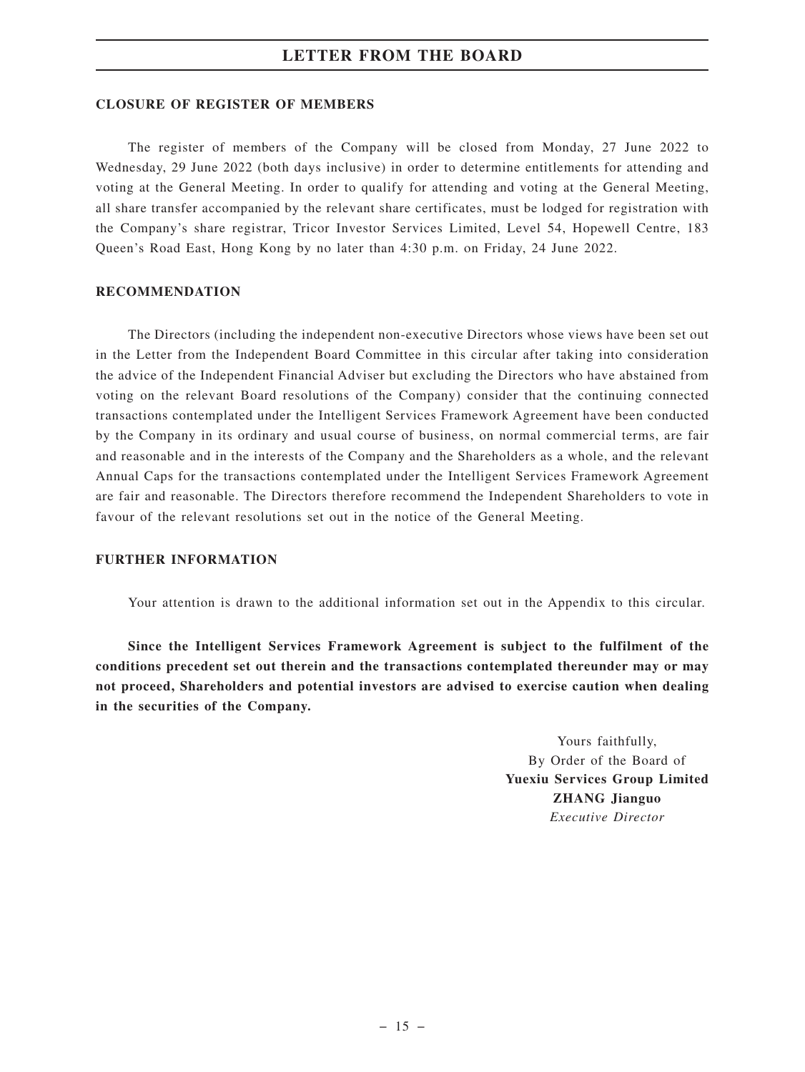#### **CLOSURE OF REGISTER OF MEMBERS**

The register of members of the Company will be closed from Monday, 27 June 2022 to Wednesday, 29 June 2022 (both days inclusive) in order to determine entitlements for attending and voting at the General Meeting. In order to qualify for attending and voting at the General Meeting, all share transfer accompanied by the relevant share certificates, must be lodged for registration with the Company's share registrar, Tricor Investor Services Limited, Level 54, Hopewell Centre, 183 Queen's Road East, Hong Kong by no later than 4:30 p.m. on Friday, 24 June 2022.

#### **RECOMMENDATION**

The Directors (including the independent non-executive Directors whose views have been set out in the Letter from the Independent Board Committee in this circular after taking into consideration the advice of the Independent Financial Adviser but excluding the Directors who have abstained from voting on the relevant Board resolutions of the Company) consider that the continuing connected transactions contemplated under the Intelligent Services Framework Agreement have been conducted by the Company in its ordinary and usual course of business, on normal commercial terms, are fair and reasonable and in the interests of the Company and the Shareholders as a whole, and the relevant Annual Caps for the transactions contemplated under the Intelligent Services Framework Agreement are fair and reasonable. The Directors therefore recommend the Independent Shareholders to vote in favour of the relevant resolutions set out in the notice of the General Meeting.

#### **FURTHER INFORMATION**

Your attention is drawn to the additional information set out in the Appendix to this circular.

**Since the Intelligent Services Framework Agreement is subject to the fulfilment of the conditions precedent set out therein and the transactions contemplated thereunder may or may not proceed, Shareholders and potential investors are advised to exercise caution when dealing in the securities of the Company.**

> Yours faithfully, By Order of the Board of **Yuexiu Services Group Limited ZHANG Jianguo** *Executive Director*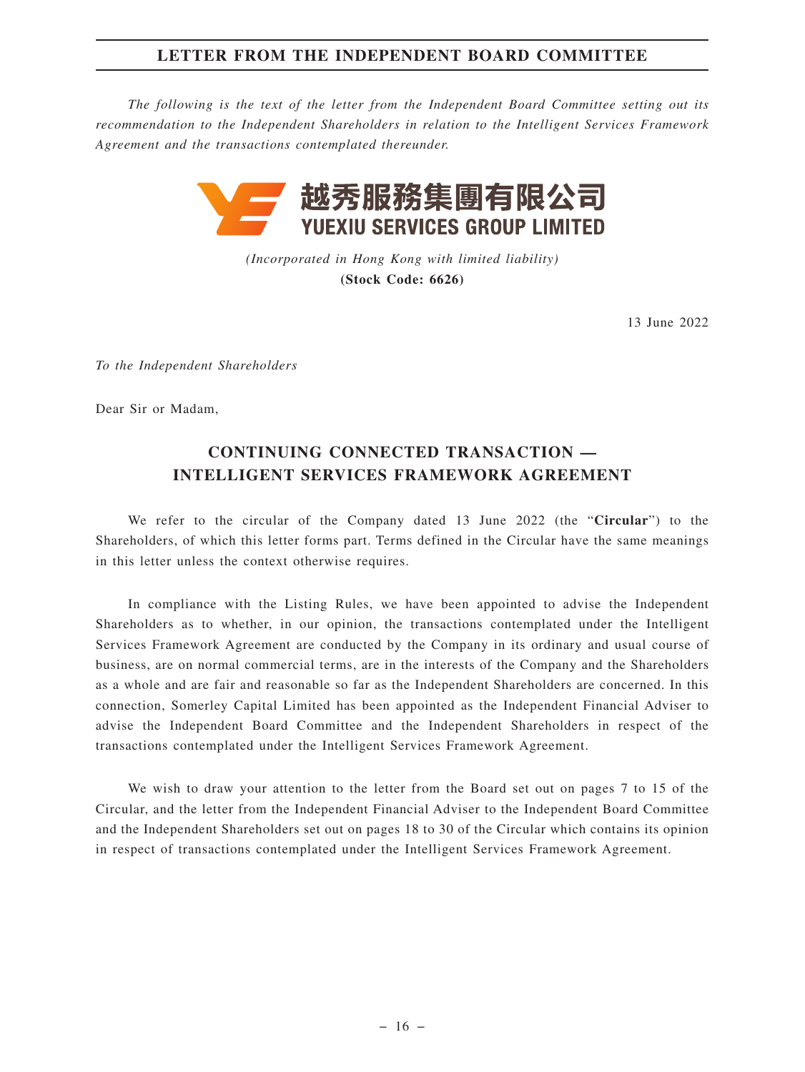# **LETTER FROM THE INDEPENDENT BOARD COMMITTEE**

*The following is the text of the letter from the Independent Board Committee setting out its recommendation to the Independent Shareholders in relation to the Intelligent Services Framework Agreement and the transactions contemplated thereunder.*



*(Incorporated in Hong Kong with limited liability)* **(Stock Code: 6626)**

13 June 2022

*To the Independent Shareholders*

Dear Sir or Madam,

# **CONTINUING CONNECTED TRANSACTION — INTELLIGENT SERVICES FRAMEWORK AGREEMENT**

We refer to the circular of the Company dated 13 June 2022 (the "**Circular**") to the Shareholders, of which this letter forms part. Terms defined in the Circular have the same meanings in this letter unless the context otherwise requires.

In compliance with the Listing Rules, we have been appointed to advise the Independent Shareholders as to whether, in our opinion, the transactions contemplated under the Intelligent Services Framework Agreement are conducted by the Company in its ordinary and usual course of business, are on normal commercial terms, are in the interests of the Company and the Shareholders as a whole and are fair and reasonable so far as the Independent Shareholders are concerned. In this connection, Somerley Capital Limited has been appointed as the Independent Financial Adviser to advise the Independent Board Committee and the Independent Shareholders in respect of the transactions contemplated under the Intelligent Services Framework Agreement.

We wish to draw your attention to the letter from the Board set out on pages 7 to 15 of the Circular, and the letter from the Independent Financial Adviser to the Independent Board Committee and the Independent Shareholders set out on pages 18 to 30 of the Circular which contains its opinion in respect of transactions contemplated under the Intelligent Services Framework Agreement.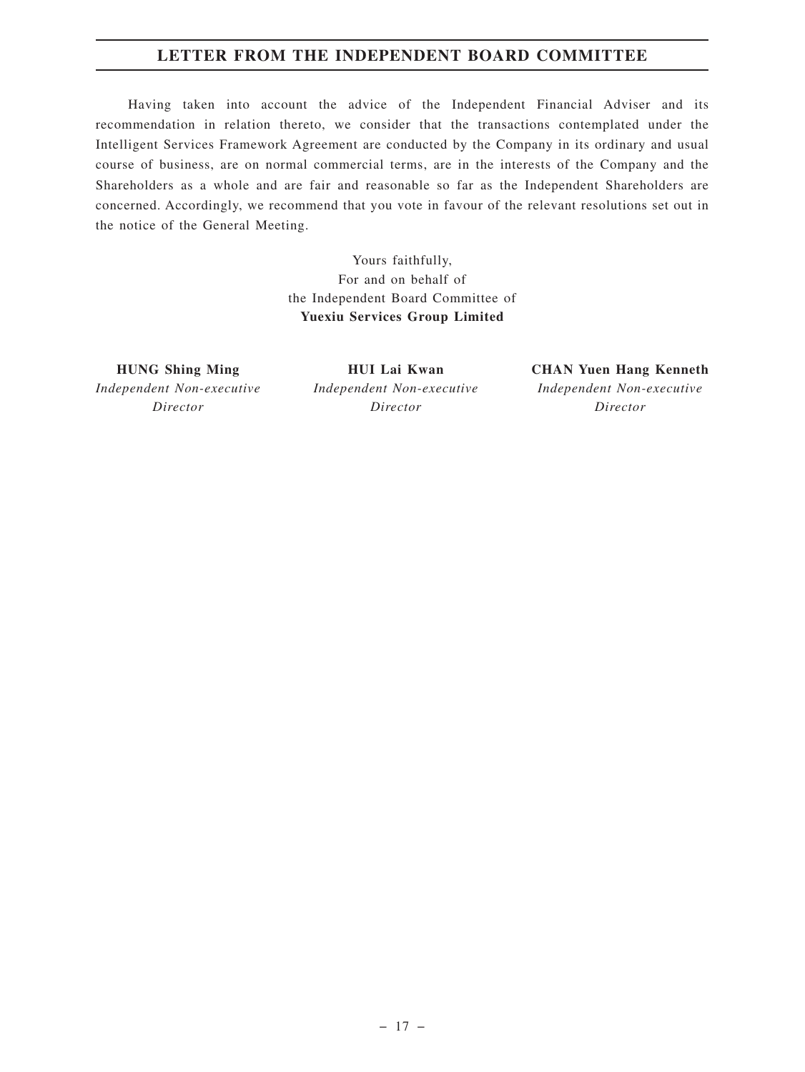# **LETTER FROM THE INDEPENDENT BOARD COMMITTEE**

Having taken into account the advice of the Independent Financial Adviser and its recommendation in relation thereto, we consider that the transactions contemplated under the Intelligent Services Framework Agreement are conducted by the Company in its ordinary and usual course of business, are on normal commercial terms, are in the interests of the Company and the Shareholders as a whole and are fair and reasonable so far as the Independent Shareholders are concerned. Accordingly, we recommend that you vote in favour of the relevant resolutions set out in the notice of the General Meeting.

> Yours faithfully, For and on behalf of the Independent Board Committee of **Yuexiu Services Group Limited**

**HUNG Shing Ming** *Independent Non-executive Director*

**HUI Lai Kwan** *Independent Non-executive Director*

**CHAN Yuen Hang Kenneth** *Independent Non-executive Director*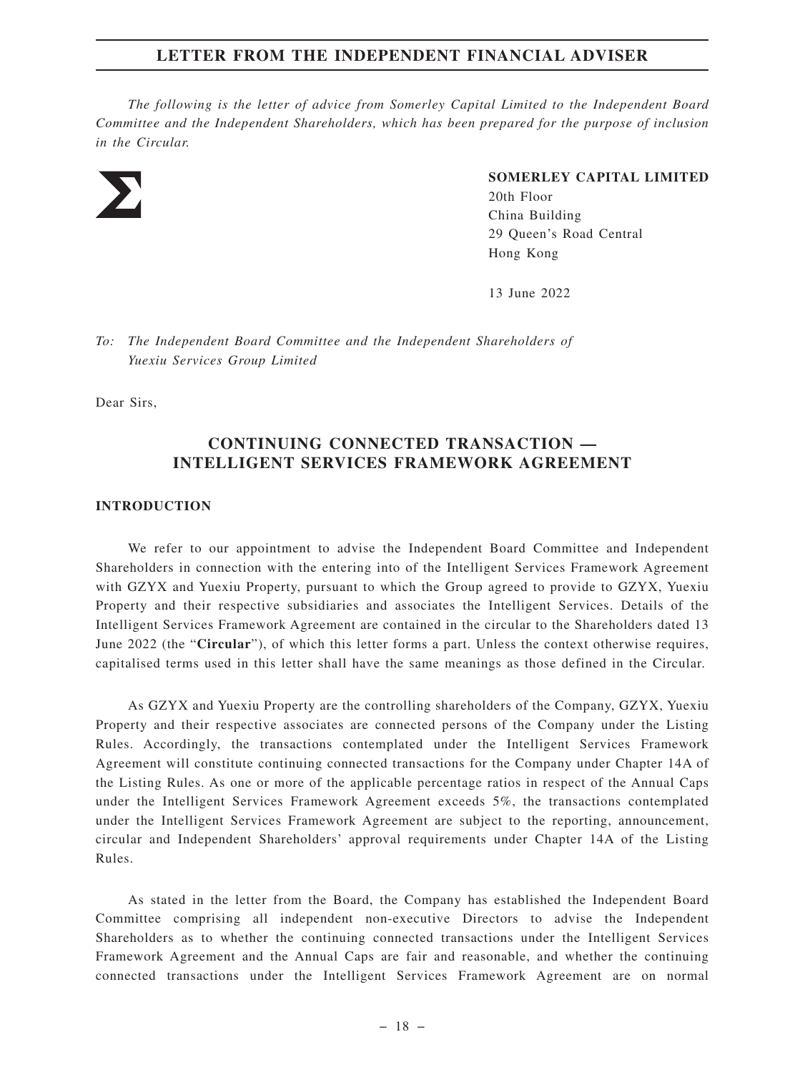*The following is the letter of advice from Somerley Capital Limited to the Independent Board Committee and the Independent Shareholders, which has been prepared for the purpose of inclusion in the Circular.*



#### **SOMERLEY CAPITAL LIMITED**

20th Floor China Building 29 Queen's Road Central Hong Kong

13 June 2022

*To: The Independent Board Committee and the Independent Shareholders of Yuexiu Services Group Limited*

Dear Sirs,

# **CONTINUING CONNECTED TRANSACTION — INTELLIGENT SERVICES FRAMEWORK AGREEMENT**

#### **INTRODUCTION**

We refer to our appointment to advise the Independent Board Committee and Independent Shareholders in connection with the entering into of the Intelligent Services Framework Agreement with GZYX and Yuexiu Property, pursuant to which the Group agreed to provide to GZYX, Yuexiu Property and their respective subsidiaries and associates the Intelligent Services. Details of the Intelligent Services Framework Agreement are contained in the circular to the Shareholders dated 13 June 2022 (the "**Circular**"), of which this letter forms a part. Unless the context otherwise requires, capitalised terms used in this letter shall have the same meanings as those defined in the Circular.

As GZYX and Yuexiu Property are the controlling shareholders of the Company, GZYX, Yuexiu Property and their respective associates are connected persons of the Company under the Listing Rules. Accordingly, the transactions contemplated under the Intelligent Services Framework Agreement will constitute continuing connected transactions for the Company under Chapter 14A of the Listing Rules. As one or more of the applicable percentage ratios in respect of the Annual Caps under the Intelligent Services Framework Agreement exceeds 5%, the transactions contemplated under the Intelligent Services Framework Agreement are subject to the reporting, announcement, circular and Independent Shareholders' approval requirements under Chapter 14A of the Listing Rules.

As stated in the letter from the Board, the Company has established the Independent Board Committee comprising all independent non-executive Directors to advise the Independent Shareholders as to whether the continuing connected transactions under the Intelligent Services Framework Agreement and the Annual Caps are fair and reasonable, and whether the continuing connected transactions under the Intelligent Services Framework Agreement are on normal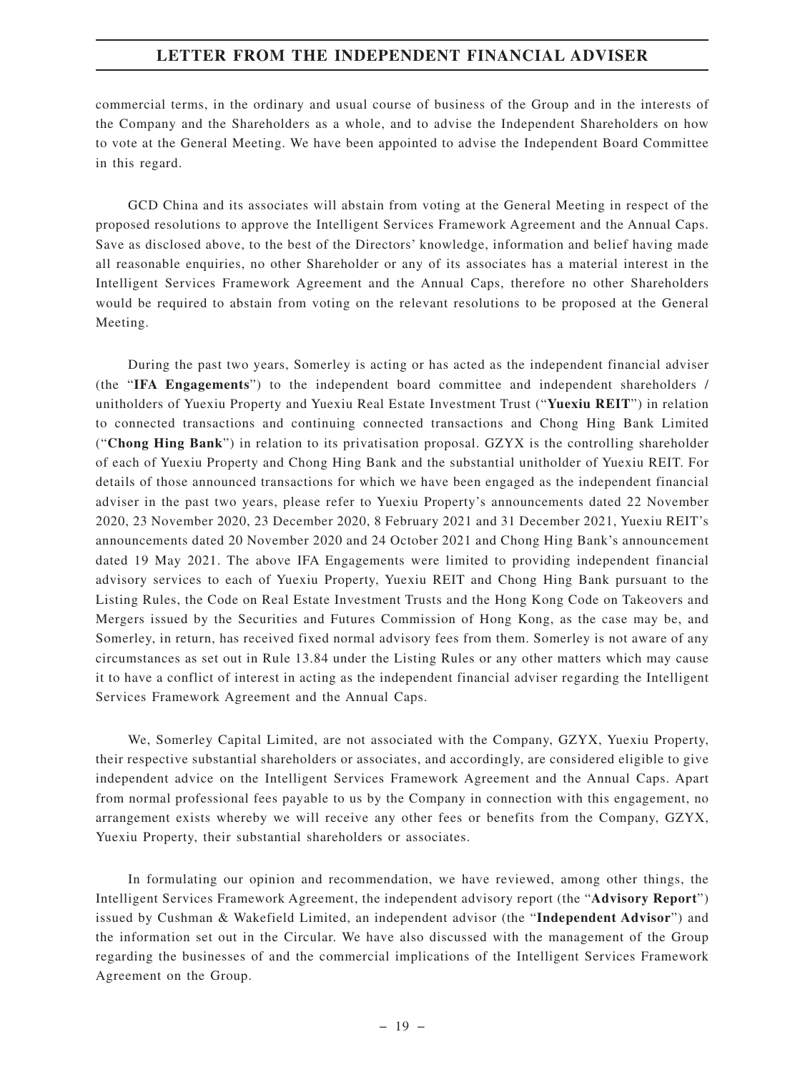commercial terms, in the ordinary and usual course of business of the Group and in the interests of the Company and the Shareholders as a whole, and to advise the Independent Shareholders on how to vote at the General Meeting. We have been appointed to advise the Independent Board Committee in this regard.

GCD China and its associates will abstain from voting at the General Meeting in respect of the proposed resolutions to approve the Intelligent Services Framework Agreement and the Annual Caps. Save as disclosed above, to the best of the Directors' knowledge, information and belief having made all reasonable enquiries, no other Shareholder or any of its associates has a material interest in the Intelligent Services Framework Agreement and the Annual Caps, therefore no other Shareholders would be required to abstain from voting on the relevant resolutions to be proposed at the General Meeting.

During the past two years, Somerley is acting or has acted as the independent financial adviser (the "**IFA Engagements**") to the independent board committee and independent shareholders / unitholders of Yuexiu Property and Yuexiu Real Estate Investment Trust ("**Yuexiu REIT**") in relation to connected transactions and continuing connected transactions and Chong Hing Bank Limited ("**Chong Hing Bank**") in relation to its privatisation proposal. GZYX is the controlling shareholder of each of Yuexiu Property and Chong Hing Bank and the substantial unitholder of Yuexiu REIT. For details of those announced transactions for which we have been engaged as the independent financial adviser in the past two years, please refer to Yuexiu Property's announcements dated 22 November 2020, 23 November 2020, 23 December 2020, 8 February 2021 and 31 December 2021, Yuexiu REIT's announcements dated 20 November 2020 and 24 October 2021 and Chong Hing Bank's announcement dated 19 May 2021. The above IFA Engagements were limited to providing independent financial advisory services to each of Yuexiu Property, Yuexiu REIT and Chong Hing Bank pursuant to the Listing Rules, the Code on Real Estate Investment Trusts and the Hong Kong Code on Takeovers and Mergers issued by the Securities and Futures Commission of Hong Kong, as the case may be, and Somerley, in return, has received fixed normal advisory fees from them. Somerley is not aware of any circumstances as set out in Rule 13.84 under the Listing Rules or any other matters which may cause it to have a conflict of interest in acting as the independent financial adviser regarding the Intelligent Services Framework Agreement and the Annual Caps.

We, Somerley Capital Limited, are not associated with the Company, GZYX, Yuexiu Property, their respective substantial shareholders or associates, and accordingly, are considered eligible to give independent advice on the Intelligent Services Framework Agreement and the Annual Caps. Apart from normal professional fees payable to us by the Company in connection with this engagement, no arrangement exists whereby we will receive any other fees or benefits from the Company, GZYX, Yuexiu Property, their substantial shareholders or associates.

In formulating our opinion and recommendation, we have reviewed, among other things, the Intelligent Services Framework Agreement, the independent advisory report (the "**Advisory Report**") issued by Cushman & Wakefield Limited, an independent advisor (the "**Independent Advisor**") and the information set out in the Circular. We have also discussed with the management of the Group regarding the businesses of and the commercial implications of the Intelligent Services Framework Agreement on the Group.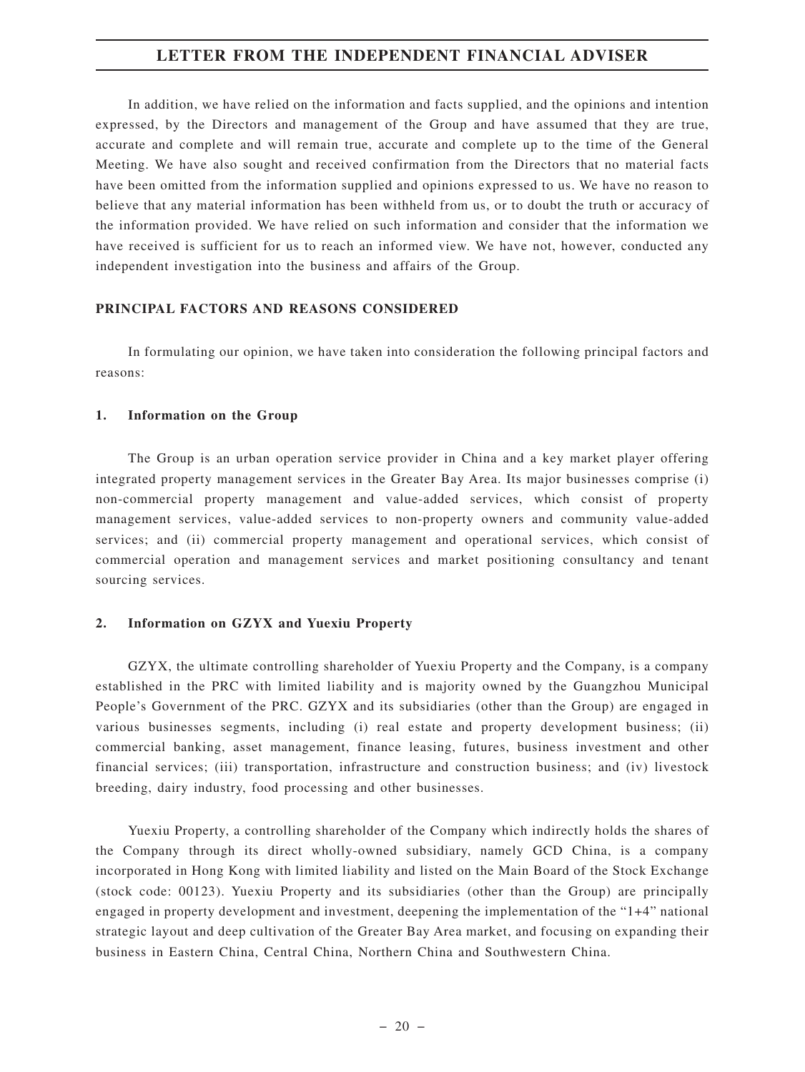In addition, we have relied on the information and facts supplied, and the opinions and intention expressed, by the Directors and management of the Group and have assumed that they are true, accurate and complete and will remain true, accurate and complete up to the time of the General Meeting. We have also sought and received confirmation from the Directors that no material facts have been omitted from the information supplied and opinions expressed to us. We have no reason to believe that any material information has been withheld from us, or to doubt the truth or accuracy of the information provided. We have relied on such information and consider that the information we have received is sufficient for us to reach an informed view. We have not, however, conducted any independent investigation into the business and affairs of the Group.

#### **PRINCIPAL FACTORS AND REASONS CONSIDERED**

In formulating our opinion, we have taken into consideration the following principal factors and reasons:

#### **1. Information on the Group**

The Group is an urban operation service provider in China and a key market player offering integrated property management services in the Greater Bay Area. Its major businesses comprise (i) non-commercial property management and value-added services, which consist of property management services, value-added services to non-property owners and community value-added services; and (ii) commercial property management and operational services, which consist of commercial operation and management services and market positioning consultancy and tenant sourcing services.

#### **2. Information on GZYX and Yuexiu Property**

GZYX, the ultimate controlling shareholder of Yuexiu Property and the Company, is a company established in the PRC with limited liability and is majority owned by the Guangzhou Municipal People's Government of the PRC. GZYX and its subsidiaries (other than the Group) are engaged in various businesses segments, including (i) real estate and property development business; (ii) commercial banking, asset management, finance leasing, futures, business investment and other financial services; (iii) transportation, infrastructure and construction business; and (iv) livestock breeding, dairy industry, food processing and other businesses.

Yuexiu Property, a controlling shareholder of the Company which indirectly holds the shares of the Company through its direct wholly-owned subsidiary, namely GCD China, is a company incorporated in Hong Kong with limited liability and listed on the Main Board of the Stock Exchange (stock code: 00123). Yuexiu Property and its subsidiaries (other than the Group) are principally engaged in property development and investment, deepening the implementation of the "1+4" national strategic layout and deep cultivation of the Greater Bay Area market, and focusing on expanding their business in Eastern China, Central China, Northern China and Southwestern China.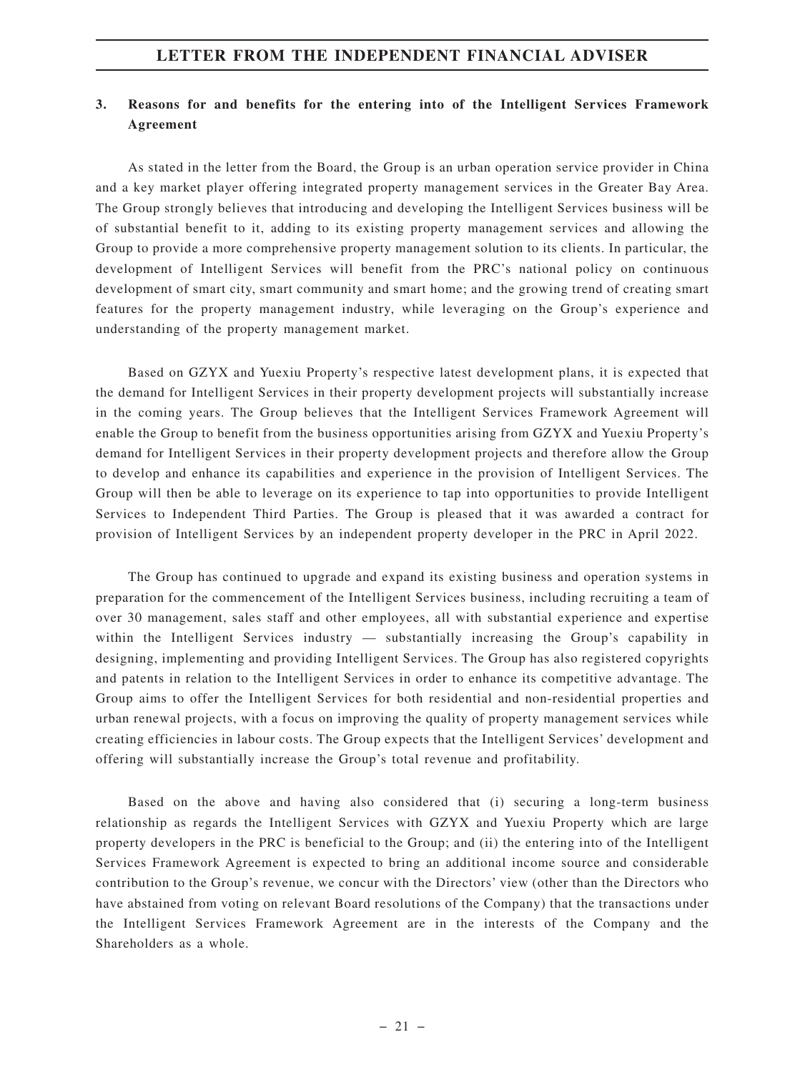# **3. Reasons for and benefits for the entering into of the Intelligent Services Framework Agreement**

As stated in the letter from the Board, the Group is an urban operation service provider in China and a key market player offering integrated property management services in the Greater Bay Area. The Group strongly believes that introducing and developing the Intelligent Services business will be of substantial benefit to it, adding to its existing property management services and allowing the Group to provide a more comprehensive property management solution to its clients. In particular, the development of Intelligent Services will benefit from the PRC's national policy on continuous development of smart city, smart community and smart home; and the growing trend of creating smart features for the property management industry, while leveraging on the Group's experience and understanding of the property management market.

Based on GZYX and Yuexiu Property's respective latest development plans, it is expected that the demand for Intelligent Services in their property development projects will substantially increase in the coming years. The Group believes that the Intelligent Services Framework Agreement will enable the Group to benefit from the business opportunities arising from GZYX and Yuexiu Property's demand for Intelligent Services in their property development projects and therefore allow the Group to develop and enhance its capabilities and experience in the provision of Intelligent Services. The Group will then be able to leverage on its experience to tap into opportunities to provide Intelligent Services to Independent Third Parties. The Group is pleased that it was awarded a contract for provision of Intelligent Services by an independent property developer in the PRC in April 2022.

The Group has continued to upgrade and expand its existing business and operation systems in preparation for the commencement of the Intelligent Services business, including recruiting a team of over 30 management, sales staff and other employees, all with substantial experience and expertise within the Intelligent Services industry — substantially increasing the Group's capability in designing, implementing and providing Intelligent Services. The Group has also registered copyrights and patents in relation to the Intelligent Services in order to enhance its competitive advantage. The Group aims to offer the Intelligent Services for both residential and non-residential properties and urban renewal projects, with a focus on improving the quality of property management services while creating efficiencies in labour costs. The Group expects that the Intelligent Services' development and offering will substantially increase the Group's total revenue and profitability.

Based on the above and having also considered that (i) securing a long-term business relationship as regards the Intelligent Services with GZYX and Yuexiu Property which are large property developers in the PRC is beneficial to the Group; and (ii) the entering into of the Intelligent Services Framework Agreement is expected to bring an additional income source and considerable contribution to the Group's revenue, we concur with the Directors' view (other than the Directors who have abstained from voting on relevant Board resolutions of the Company) that the transactions under the Intelligent Services Framework Agreement are in the interests of the Company and the Shareholders as a whole.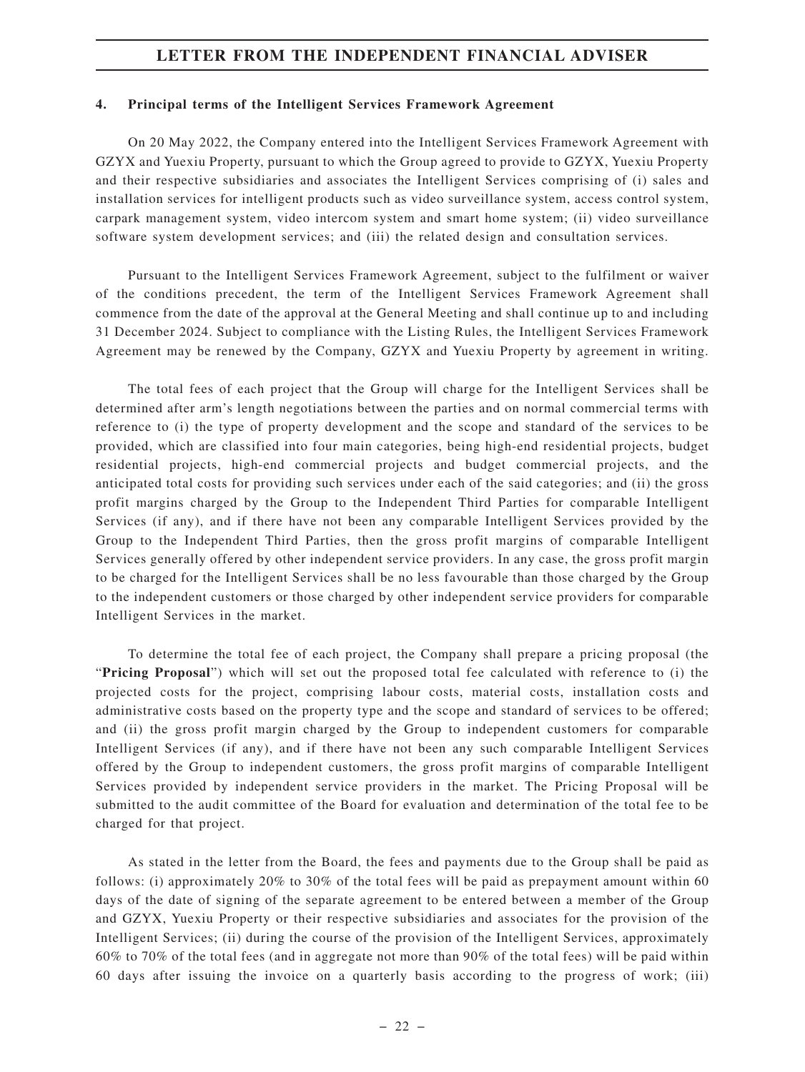#### **4. Principal terms of the Intelligent Services Framework Agreement**

On 20 May 2022, the Company entered into the Intelligent Services Framework Agreement with GZYX and Yuexiu Property, pursuant to which the Group agreed to provide to GZYX, Yuexiu Property and their respective subsidiaries and associates the Intelligent Services comprising of (i) sales and installation services for intelligent products such as video surveillance system, access control system, carpark management system, video intercom system and smart home system; (ii) video surveillance software system development services; and (iii) the related design and consultation services.

Pursuant to the Intelligent Services Framework Agreement, subject to the fulfilment or waiver of the conditions precedent, the term of the Intelligent Services Framework Agreement shall commence from the date of the approval at the General Meeting and shall continue up to and including 31 December 2024. Subject to compliance with the Listing Rules, the Intelligent Services Framework Agreement may be renewed by the Company, GZYX and Yuexiu Property by agreement in writing.

The total fees of each project that the Group will charge for the Intelligent Services shall be determined after arm's length negotiations between the parties and on normal commercial terms with reference to (i) the type of property development and the scope and standard of the services to be provided, which are classified into four main categories, being high-end residential projects, budget residential projects, high-end commercial projects and budget commercial projects, and the anticipated total costs for providing such services under each of the said categories; and (ii) the gross profit margins charged by the Group to the Independent Third Parties for comparable Intelligent Services (if any), and if there have not been any comparable Intelligent Services provided by the Group to the Independent Third Parties, then the gross profit margins of comparable Intelligent Services generally offered by other independent service providers. In any case, the gross profit margin to be charged for the Intelligent Services shall be no less favourable than those charged by the Group to the independent customers or those charged by other independent service providers for comparable Intelligent Services in the market.

To determine the total fee of each project, the Company shall prepare a pricing proposal (the "**Pricing Proposal**") which will set out the proposed total fee calculated with reference to (i) the projected costs for the project, comprising labour costs, material costs, installation costs and administrative costs based on the property type and the scope and standard of services to be offered; and (ii) the gross profit margin charged by the Group to independent customers for comparable Intelligent Services (if any), and if there have not been any such comparable Intelligent Services offered by the Group to independent customers, the gross profit margins of comparable Intelligent Services provided by independent service providers in the market. The Pricing Proposal will be submitted to the audit committee of the Board for evaluation and determination of the total fee to be charged for that project.

As stated in the letter from the Board, the fees and payments due to the Group shall be paid as follows: (i) approximately 20% to 30% of the total fees will be paid as prepayment amount within 60 days of the date of signing of the separate agreement to be entered between a member of the Group and GZYX, Yuexiu Property or their respective subsidiaries and associates for the provision of the Intelligent Services; (ii) during the course of the provision of the Intelligent Services, approximately 60% to 70% of the total fees (and in aggregate not more than 90% of the total fees) will be paid within 60 days after issuing the invoice on a quarterly basis according to the progress of work; (iii)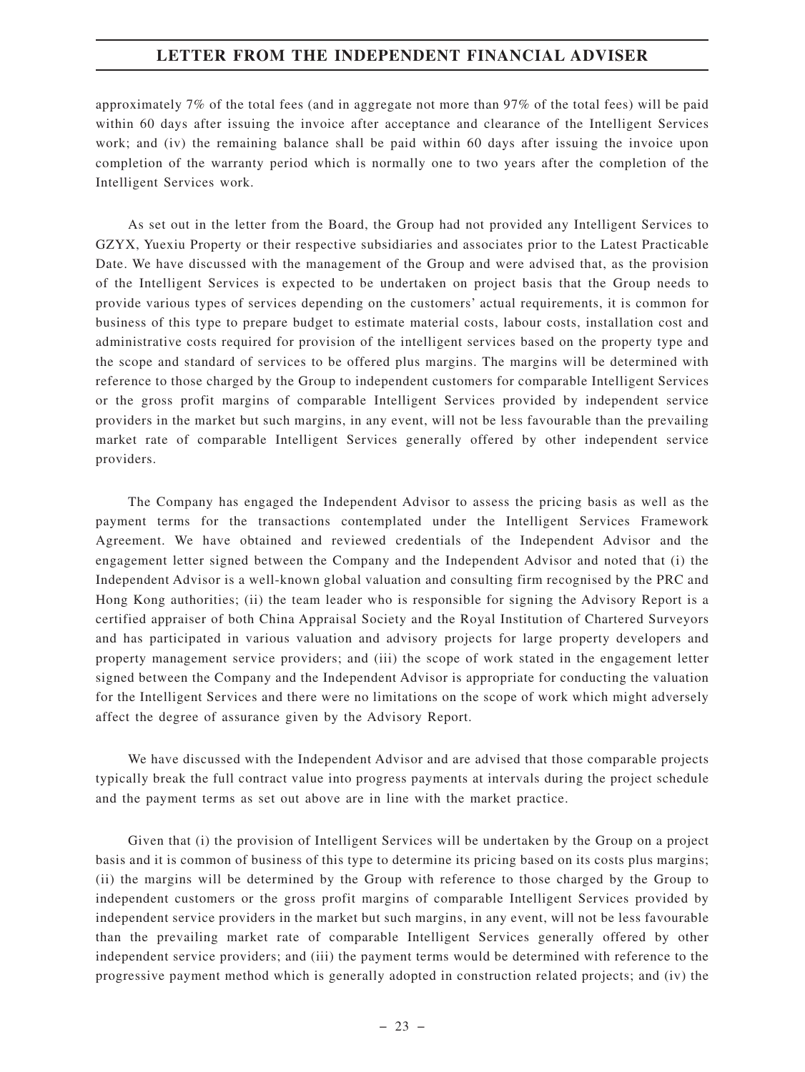approximately 7% of the total fees (and in aggregate not more than 97% of the total fees) will be paid within 60 days after issuing the invoice after acceptance and clearance of the Intelligent Services work; and (iv) the remaining balance shall be paid within 60 days after issuing the invoice upon completion of the warranty period which is normally one to two years after the completion of the Intelligent Services work.

As set out in the letter from the Board, the Group had not provided any Intelligent Services to GZYX, Yuexiu Property or their respective subsidiaries and associates prior to the Latest Practicable Date. We have discussed with the management of the Group and were advised that, as the provision of the Intelligent Services is expected to be undertaken on project basis that the Group needs to provide various types of services depending on the customers' actual requirements, it is common for business of this type to prepare budget to estimate material costs, labour costs, installation cost and administrative costs required for provision of the intelligent services based on the property type and the scope and standard of services to be offered plus margins. The margins will be determined with reference to those charged by the Group to independent customers for comparable Intelligent Services or the gross profit margins of comparable Intelligent Services provided by independent service providers in the market but such margins, in any event, will not be less favourable than the prevailing market rate of comparable Intelligent Services generally offered by other independent service providers.

The Company has engaged the Independent Advisor to assess the pricing basis as well as the payment terms for the transactions contemplated under the Intelligent Services Framework Agreement. We have obtained and reviewed credentials of the Independent Advisor and the engagement letter signed between the Company and the Independent Advisor and noted that (i) the Independent Advisor is a well-known global valuation and consulting firm recognised by the PRC and Hong Kong authorities; (ii) the team leader who is responsible for signing the Advisory Report is a certified appraiser of both China Appraisal Society and the Royal Institution of Chartered Surveyors and has participated in various valuation and advisory projects for large property developers and property management service providers; and (iii) the scope of work stated in the engagement letter signed between the Company and the Independent Advisor is appropriate for conducting the valuation for the Intelligent Services and there were no limitations on the scope of work which might adversely affect the degree of assurance given by the Advisory Report.

We have discussed with the Independent Advisor and are advised that those comparable projects typically break the full contract value into progress payments at intervals during the project schedule and the payment terms as set out above are in line with the market practice.

Given that (i) the provision of Intelligent Services will be undertaken by the Group on a project basis and it is common of business of this type to determine its pricing based on its costs plus margins; (ii) the margins will be determined by the Group with reference to those charged by the Group to independent customers or the gross profit margins of comparable Intelligent Services provided by independent service providers in the market but such margins, in any event, will not be less favourable than the prevailing market rate of comparable Intelligent Services generally offered by other independent service providers; and (iii) the payment terms would be determined with reference to the progressive payment method which is generally adopted in construction related projects; and (iv) the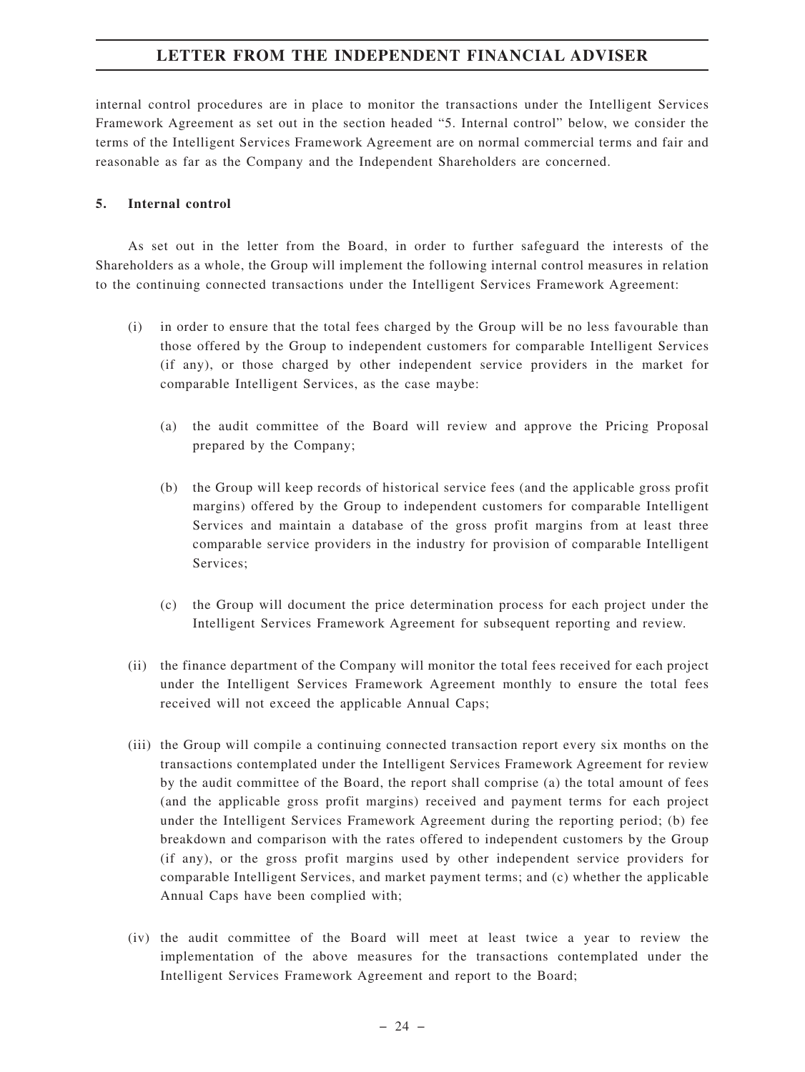internal control procedures are in place to monitor the transactions under the Intelligent Services Framework Agreement as set out in the section headed "5. Internal control" below, we consider the terms of the Intelligent Services Framework Agreement are on normal commercial terms and fair and reasonable as far as the Company and the Independent Shareholders are concerned.

#### **5. Internal control**

As set out in the letter from the Board, in order to further safeguard the interests of the Shareholders as a whole, the Group will implement the following internal control measures in relation to the continuing connected transactions under the Intelligent Services Framework Agreement:

- (i) in order to ensure that the total fees charged by the Group will be no less favourable than those offered by the Group to independent customers for comparable Intelligent Services (if any), or those charged by other independent service providers in the market for comparable Intelligent Services, as the case maybe:
	- (a) the audit committee of the Board will review and approve the Pricing Proposal prepared by the Company;
	- (b) the Group will keep records of historical service fees (and the applicable gross profit margins) offered by the Group to independent customers for comparable Intelligent Services and maintain a database of the gross profit margins from at least three comparable service providers in the industry for provision of comparable Intelligent Services;
	- (c) the Group will document the price determination process for each project under the Intelligent Services Framework Agreement for subsequent reporting and review.
- (ii) the finance department of the Company will monitor the total fees received for each project under the Intelligent Services Framework Agreement monthly to ensure the total fees received will not exceed the applicable Annual Caps;
- (iii) the Group will compile a continuing connected transaction report every six months on the transactions contemplated under the Intelligent Services Framework Agreement for review by the audit committee of the Board, the report shall comprise (a) the total amount of fees (and the applicable gross profit margins) received and payment terms for each project under the Intelligent Services Framework Agreement during the reporting period; (b) fee breakdown and comparison with the rates offered to independent customers by the Group (if any), or the gross profit margins used by other independent service providers for comparable Intelligent Services, and market payment terms; and (c) whether the applicable Annual Caps have been complied with;
- (iv) the audit committee of the Board will meet at least twice a year to review the implementation of the above measures for the transactions contemplated under the Intelligent Services Framework Agreement and report to the Board;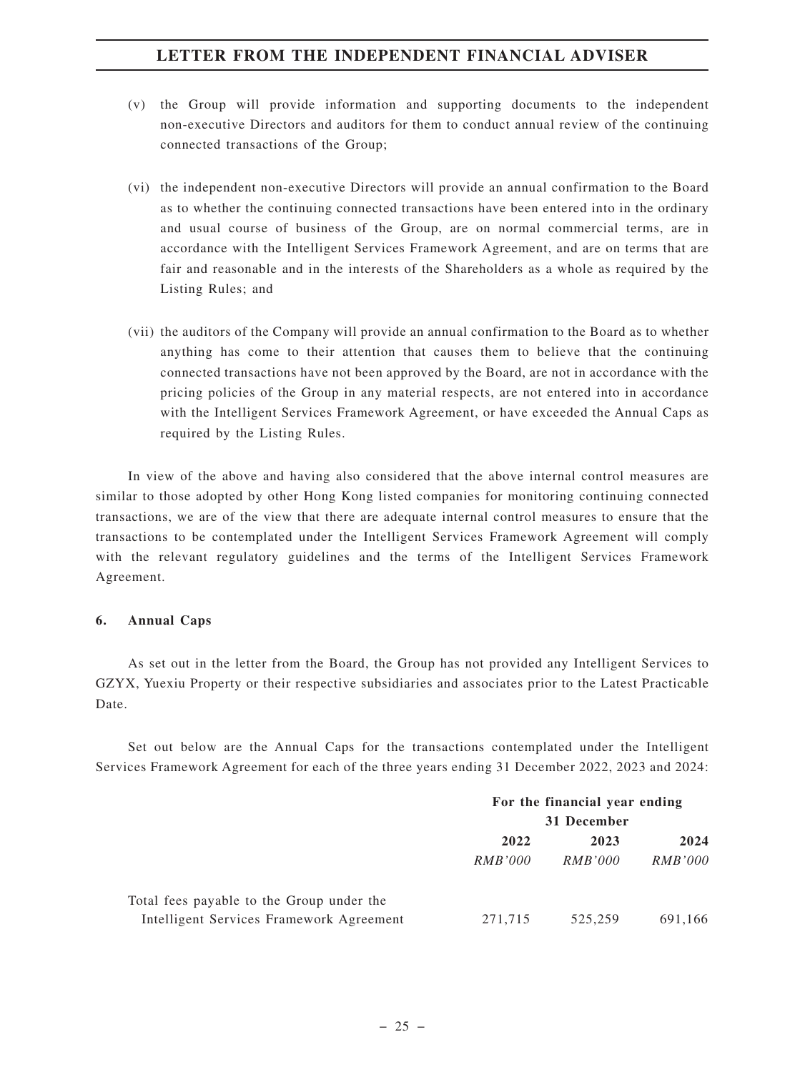- (v) the Group will provide information and supporting documents to the independent non-executive Directors and auditors for them to conduct annual review of the continuing connected transactions of the Group;
- (vi) the independent non-executive Directors will provide an annual confirmation to the Board as to whether the continuing connected transactions have been entered into in the ordinary and usual course of business of the Group, are on normal commercial terms, are in accordance with the Intelligent Services Framework Agreement, and are on terms that are fair and reasonable and in the interests of the Shareholders as a whole as required by the Listing Rules; and
- (vii) the auditors of the Company will provide an annual confirmation to the Board as to whether anything has come to their attention that causes them to believe that the continuing connected transactions have not been approved by the Board, are not in accordance with the pricing policies of the Group in any material respects, are not entered into in accordance with the Intelligent Services Framework Agreement, or have exceeded the Annual Caps as required by the Listing Rules.

In view of the above and having also considered that the above internal control measures are similar to those adopted by other Hong Kong listed companies for monitoring continuing connected transactions, we are of the view that there are adequate internal control measures to ensure that the transactions to be contemplated under the Intelligent Services Framework Agreement will comply with the relevant regulatory guidelines and the terms of the Intelligent Services Framework Agreement.

#### **6. Annual Caps**

As set out in the letter from the Board, the Group has not provided any Intelligent Services to GZYX, Yuexiu Property or their respective subsidiaries and associates prior to the Latest Practicable Date.

Set out below are the Annual Caps for the transactions contemplated under the Intelligent Services Framework Agreement for each of the three years ending 31 December 2022, 2023 and 2024:

|                                           | For the financial year ending |         |                |
|-------------------------------------------|-------------------------------|---------|----------------|
|                                           | 31 December                   |         |                |
|                                           | 2022                          | 2023    | 2024           |
|                                           | RMB'000                       | RMB'000 | <i>RMB'000</i> |
| Total fees payable to the Group under the |                               |         |                |
| Intelligent Services Framework Agreement  | 271,715                       | 525.259 | 691.166        |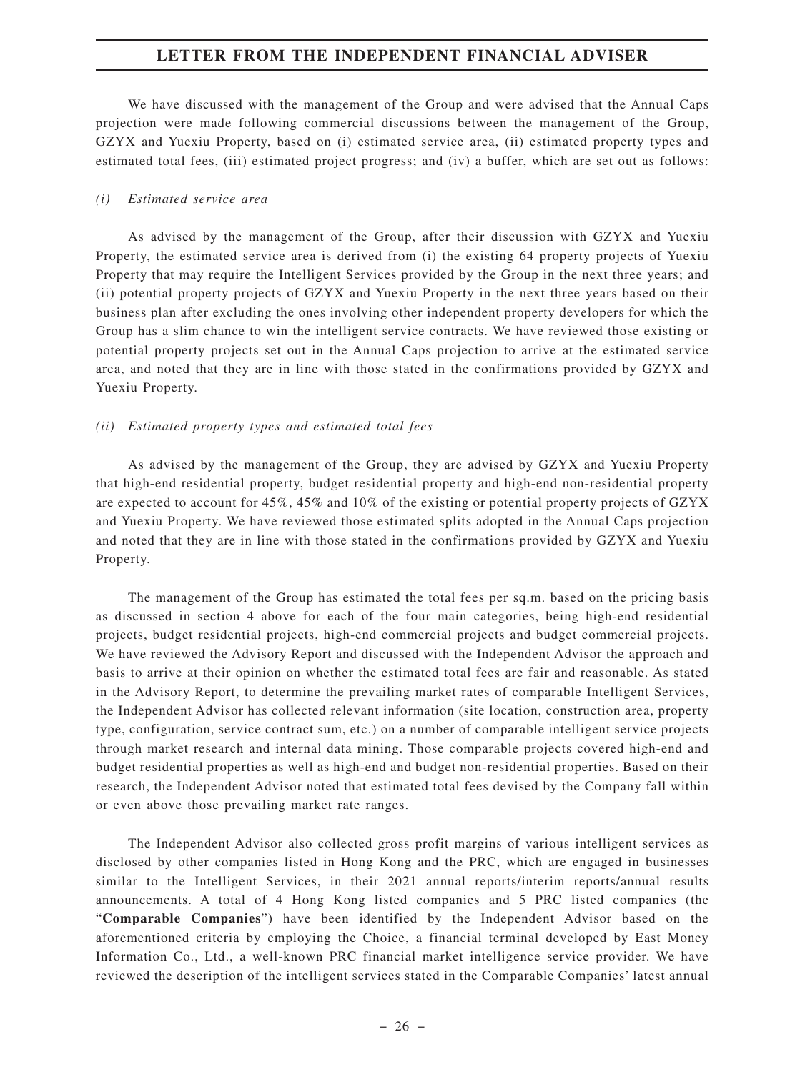We have discussed with the management of the Group and were advised that the Annual Caps projection were made following commercial discussions between the management of the Group, GZYX and Yuexiu Property, based on (i) estimated service area, (ii) estimated property types and estimated total fees, (iii) estimated project progress; and (iv) a buffer, which are set out as follows:

#### *(i) Estimated service area*

As advised by the management of the Group, after their discussion with GZYX and Yuexiu Property, the estimated service area is derived from (i) the existing 64 property projects of Yuexiu Property that may require the Intelligent Services provided by the Group in the next three years; and (ii) potential property projects of GZYX and Yuexiu Property in the next three years based on their business plan after excluding the ones involving other independent property developers for which the Group has a slim chance to win the intelligent service contracts. We have reviewed those existing or potential property projects set out in the Annual Caps projection to arrive at the estimated service area, and noted that they are in line with those stated in the confirmations provided by GZYX and Yuexiu Property.

#### *(ii) Estimated property types and estimated total fees*

As advised by the management of the Group, they are advised by GZYX and Yuexiu Property that high-end residential property, budget residential property and high-end non-residential property are expected to account for 45%, 45% and 10% of the existing or potential property projects of GZYX and Yuexiu Property. We have reviewed those estimated splits adopted in the Annual Caps projection and noted that they are in line with those stated in the confirmations provided by GZYX and Yuexiu Property.

The management of the Group has estimated the total fees per sq.m. based on the pricing basis as discussed in section 4 above for each of the four main categories, being high-end residential projects, budget residential projects, high-end commercial projects and budget commercial projects. We have reviewed the Advisory Report and discussed with the Independent Advisor the approach and basis to arrive at their opinion on whether the estimated total fees are fair and reasonable. As stated in the Advisory Report, to determine the prevailing market rates of comparable Intelligent Services, the Independent Advisor has collected relevant information (site location, construction area, property type, configuration, service contract sum, etc.) on a number of comparable intelligent service projects through market research and internal data mining. Those comparable projects covered high-end and budget residential properties as well as high-end and budget non-residential properties. Based on their research, the Independent Advisor noted that estimated total fees devised by the Company fall within or even above those prevailing market rate ranges.

The Independent Advisor also collected gross profit margins of various intelligent services as disclosed by other companies listed in Hong Kong and the PRC, which are engaged in businesses similar to the Intelligent Services, in their 2021 annual reports/interim reports/annual results announcements. A total of 4 Hong Kong listed companies and 5 PRC listed companies (the "**Comparable Companies**") have been identified by the Independent Advisor based on the aforementioned criteria by employing the Choice, a financial terminal developed by East Money Information Co., Ltd., a well-known PRC financial market intelligence service provider. We have reviewed the description of the intelligent services stated in the Comparable Companies' latest annual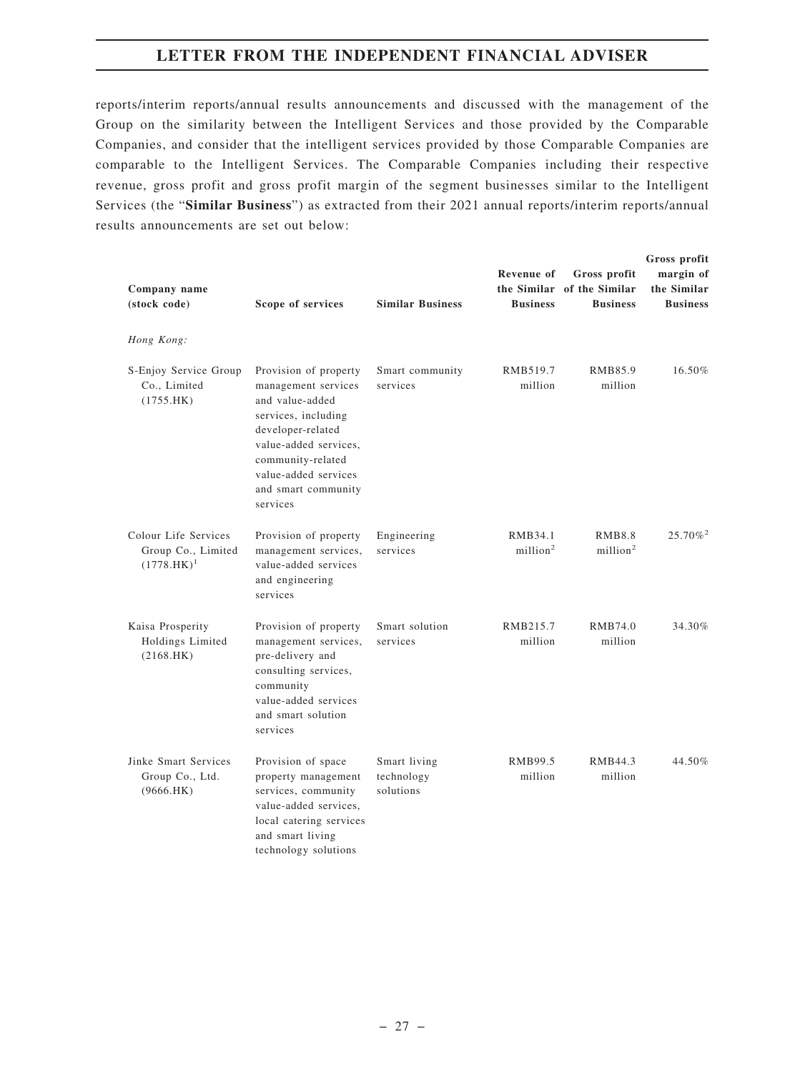reports/interim reports/annual results announcements and discussed with the management of the Group on the similarity between the Intelligent Services and those provided by the Comparable Companies, and consider that the intelligent services provided by those Comparable Companies are comparable to the Intelligent Services. The Comparable Companies including their respective revenue, gross profit and gross profit margin of the segment businesses similar to the Intelligent Services (the "**Similar Business**") as extracted from their 2021 annual reports/interim reports/annual results announcements are set out below:

| Company name<br>(stock code)                                | Scope of services                                                                                                                                                                                                    | <b>Similar Business</b>                 | <b>Revenue of</b><br><b>Business</b> | Gross profit<br>the Similar of the Similar<br><b>Business</b> | Gross profit<br>margin of<br>the Similar<br><b>Business</b> |
|-------------------------------------------------------------|----------------------------------------------------------------------------------------------------------------------------------------------------------------------------------------------------------------------|-----------------------------------------|--------------------------------------|---------------------------------------------------------------|-------------------------------------------------------------|
| Hong Kong:                                                  |                                                                                                                                                                                                                      |                                         |                                      |                                                               |                                                             |
| S-Enjoy Service Group<br>Co., Limited<br>(1755.HK)          | Provision of property<br>management services<br>and value-added<br>services, including<br>developer-related<br>value-added services,<br>community-related<br>value-added services<br>and smart community<br>services | Smart community<br>services             | RMB519.7<br>million                  | RMB85.9<br>million                                            | 16.50%                                                      |
| Colour Life Services<br>Group Co., Limited<br>$(1778.HK)^1$ | Provision of property<br>management services,<br>value-added services<br>and engineering<br>services                                                                                                                 | Engineering<br>services                 | RMB34.1<br>million <sup>2</sup>      | <b>RMB8.8</b><br>$m$ illion <sup>2</sup>                      | $25.70\%$ <sup>2</sup>                                      |
| Kaisa Prosperity<br>Holdings Limited<br>(2168.HK)           | Provision of property<br>management services,<br>pre-delivery and<br>consulting services,<br>community<br>value-added services<br>and smart solution<br>services                                                     | Smart solution<br>services              | RMB215.7<br>million                  | RMB74.0<br>million                                            | 34.30%                                                      |
| Jinke Smart Services<br>Group Co., Ltd.<br>(9666.HK)        | Provision of space<br>property management<br>services, community<br>value-added services,<br>local catering services<br>and smart living<br>technology solutions                                                     | Smart living<br>technology<br>solutions | RMB99.5<br>million                   | RMB44.3<br>million                                            | 44.50%                                                      |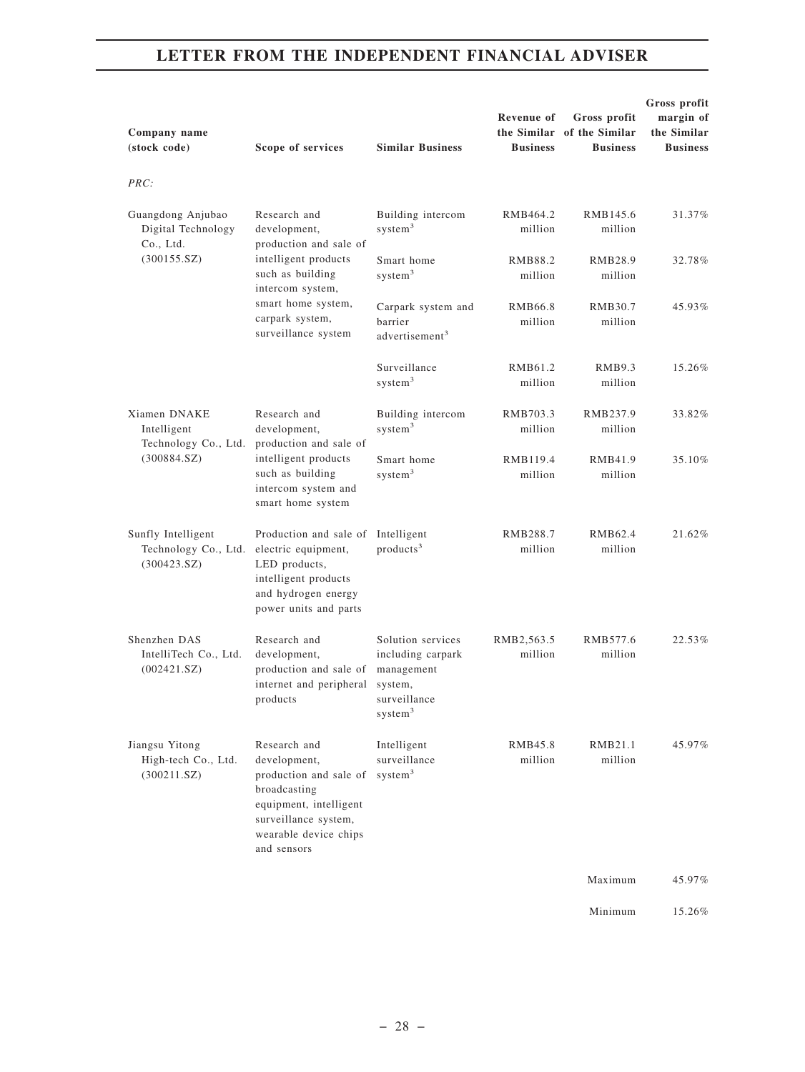| Company name<br>(stock code)                              |                                                                                      | Scope of services                                                                                                                                                | <b>Similar Business</b>                                                                                | <b>Revenue of</b><br><b>Business</b> | Gross profit<br>the Similar of the Similar<br><b>Business</b> | Gross profit<br>margin of<br>the Similar<br><b>Business</b> |
|-----------------------------------------------------------|--------------------------------------------------------------------------------------|------------------------------------------------------------------------------------------------------------------------------------------------------------------|--------------------------------------------------------------------------------------------------------|--------------------------------------|---------------------------------------------------------------|-------------------------------------------------------------|
| PRC:                                                      |                                                                                      |                                                                                                                                                                  |                                                                                                        |                                      |                                                               |                                                             |
| Guangdong Anjubao<br>Digital Technology<br>Co., Ltd.      |                                                                                      | Research and<br>development,<br>production and sale of                                                                                                           | Building intercom<br>system <sup>3</sup>                                                               | RMB464.2<br>million                  | RMB145.6<br>million                                           | 31.37%                                                      |
| (300155.SZ)                                               |                                                                                      | intelligent products<br>such as building<br>intercom system,                                                                                                     | Smart home<br>system <sup>3</sup>                                                                      | RMB88.2<br>million                   | RMB28.9<br>million                                            | 32.78%                                                      |
|                                                           |                                                                                      | smart home system,<br>carpark system,<br>surveillance system                                                                                                     | Carpark system and<br>barrier<br>advertisement <sup>3</sup>                                            | RMB66.8<br>million                   | RMB30.7<br>million                                            | 45.93%                                                      |
|                                                           |                                                                                      |                                                                                                                                                                  | Surveillance<br>system <sup>3</sup>                                                                    | RMB61.2<br>million                   | RMB9.3<br>million                                             | 15.26%                                                      |
| Xiamen DNAKE<br>Intelligent                               |                                                                                      | Research and<br>development,<br>production and sale of                                                                                                           | Building intercom<br>system <sup>3</sup>                                                               | RMB703.3<br>million                  | RMB237.9<br>million                                           | 33.82%                                                      |
| Technology Co., Ltd.<br>(300884.SZ)                       | intelligent products<br>such as building<br>intercom system and<br>smart home system | Smart home<br>system <sup>3</sup>                                                                                                                                | RMB119.4<br>million                                                                                    | RMB41.9<br>million                   | 35.10%                                                        |                                                             |
| Sunfly Intelligent<br>Technology Co., Ltd.<br>(300423.SZ) |                                                                                      | Production and sale of<br>electric equipment,<br>LED products,<br>intelligent products<br>and hydrogen energy<br>power units and parts                           | Intelligent<br>products <sup>3</sup>                                                                   | RMB288.7<br>million                  | RMB62.4<br>million                                            | 21.62%                                                      |
| Shenzhen DAS<br>IntelliTech Co., Ltd.<br>(002421.SZ)      |                                                                                      | Research and<br>development,<br>production and sale of<br>internet and peripheral<br>products                                                                    | Solution services<br>including carpark<br>management<br>system,<br>surveillance<br>system <sup>3</sup> | RMB2.563.5<br>million                | RMB577.6<br>million                                           | 22.53%                                                      |
| Jiangsu Yitong<br>High-tech Co., Ltd.<br>(300211.SZ)      |                                                                                      | Research and<br>development,<br>production and sale of<br>broadcasting<br>equipment, intelligent<br>surveillance system,<br>wearable device chips<br>and sensors | Intelligent<br>surveillance<br>system <sup>3</sup>                                                     | RMB45.8<br>million                   | RMB21.1<br>million                                            | 45.97%                                                      |
|                                                           |                                                                                      |                                                                                                                                                                  |                                                                                                        |                                      | Maximum                                                       | 45.97%                                                      |
|                                                           |                                                                                      |                                                                                                                                                                  |                                                                                                        |                                      | Minimum                                                       | 15.26%                                                      |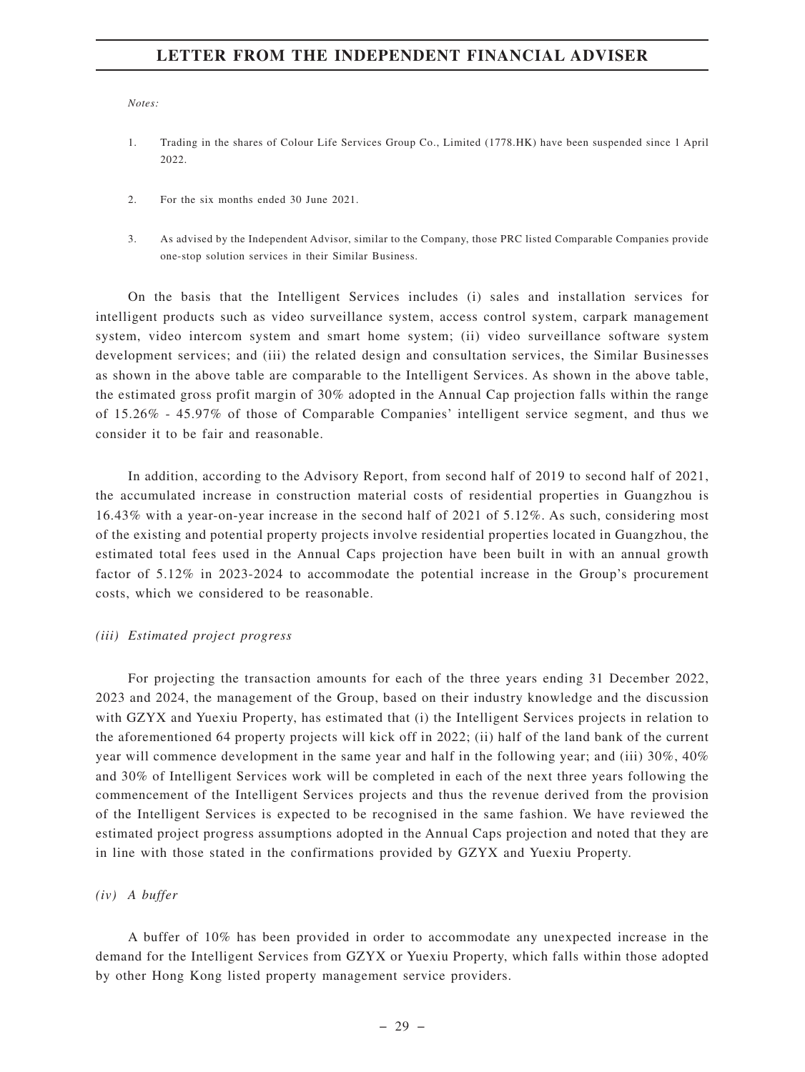*Notes:*

- 1. Trading in the shares of Colour Life Services Group Co., Limited (1778.HK) have been suspended since 1 April 2022.
- 2. For the six months ended 30 June 2021.
- 3. As advised by the Independent Advisor, similar to the Company, those PRC listed Comparable Companies provide one-stop solution services in their Similar Business.

On the basis that the Intelligent Services includes (i) sales and installation services for intelligent products such as video surveillance system, access control system, carpark management system, video intercom system and smart home system; (ii) video surveillance software system development services; and (iii) the related design and consultation services, the Similar Businesses as shown in the above table are comparable to the Intelligent Services. As shown in the above table, the estimated gross profit margin of 30% adopted in the Annual Cap projection falls within the range of 15.26% - 45.97% of those of Comparable Companies' intelligent service segment, and thus we consider it to be fair and reasonable.

In addition, according to the Advisory Report, from second half of 2019 to second half of 2021, the accumulated increase in construction material costs of residential properties in Guangzhou is 16.43% with a year-on-year increase in the second half of 2021 of 5.12%. As such, considering most of the existing and potential property projects involve residential properties located in Guangzhou, the estimated total fees used in the Annual Caps projection have been built in with an annual growth factor of 5.12% in 2023-2024 to accommodate the potential increase in the Group's procurement costs, which we considered to be reasonable.

#### *(iii) Estimated project progress*

For projecting the transaction amounts for each of the three years ending 31 December 2022, 2023 and 2024, the management of the Group, based on their industry knowledge and the discussion with GZYX and Yuexiu Property, has estimated that (i) the Intelligent Services projects in relation to the aforementioned 64 property projects will kick off in 2022; (ii) half of the land bank of the current year will commence development in the same year and half in the following year; and (iii) 30%, 40% and 30% of Intelligent Services work will be completed in each of the next three years following the commencement of the Intelligent Services projects and thus the revenue derived from the provision of the Intelligent Services is expected to be recognised in the same fashion. We have reviewed the estimated project progress assumptions adopted in the Annual Caps projection and noted that they are in line with those stated in the confirmations provided by GZYX and Yuexiu Property.

#### *(iv) A buffer*

A buffer of 10% has been provided in order to accommodate any unexpected increase in the demand for the Intelligent Services from GZYX or Yuexiu Property, which falls within those adopted by other Hong Kong listed property management service providers.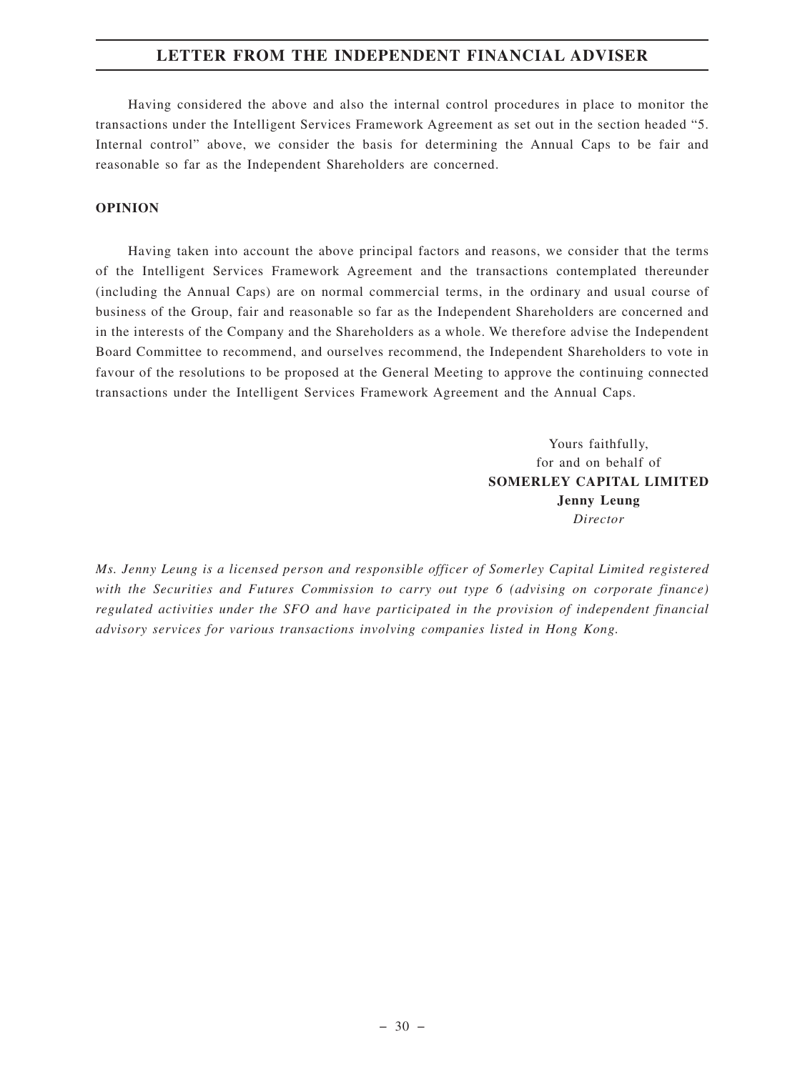Having considered the above and also the internal control procedures in place to monitor the transactions under the Intelligent Services Framework Agreement as set out in the section headed "5. Internal control" above, we consider the basis for determining the Annual Caps to be fair and reasonable so far as the Independent Shareholders are concerned.

#### **OPINION**

Having taken into account the above principal factors and reasons, we consider that the terms of the Intelligent Services Framework Agreement and the transactions contemplated thereunder (including the Annual Caps) are on normal commercial terms, in the ordinary and usual course of business of the Group, fair and reasonable so far as the Independent Shareholders are concerned and in the interests of the Company and the Shareholders as a whole. We therefore advise the Independent Board Committee to recommend, and ourselves recommend, the Independent Shareholders to vote in favour of the resolutions to be proposed at the General Meeting to approve the continuing connected transactions under the Intelligent Services Framework Agreement and the Annual Caps.

> Yours faithfully, for and on behalf of **SOMERLEY CAPITAL LIMITED Jenny Leung** *Director*

*Ms. Jenny Leung is a licensed person and responsible officer of Somerley Capital Limited registered with the Securities and Futures Commission to carry out type 6 (advising on corporate finance) regulated activities under the SFO and have participated in the provision of independent financial advisory services for various transactions involving companies listed in Hong Kong.*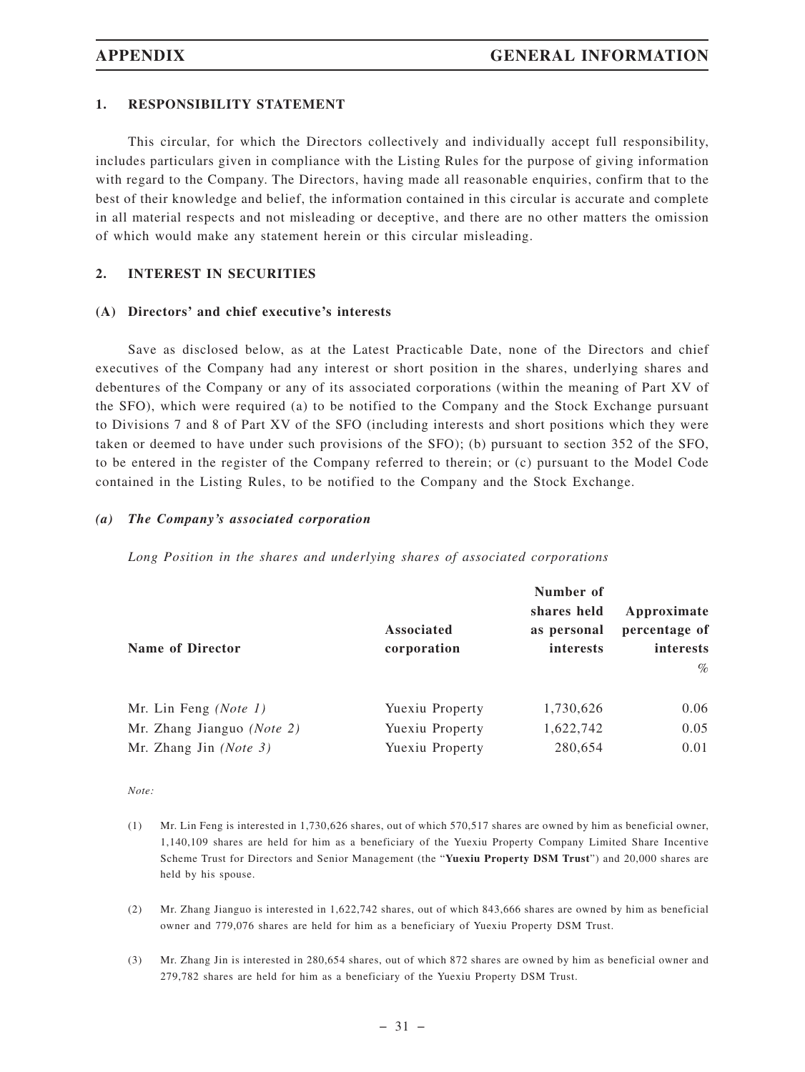#### **1. RESPONSIBILITY STATEMENT**

This circular, for which the Directors collectively and individually accept full responsibility, includes particulars given in compliance with the Listing Rules for the purpose of giving information with regard to the Company. The Directors, having made all reasonable enquiries, confirm that to the best of their knowledge and belief, the information contained in this circular is accurate and complete in all material respects and not misleading or deceptive, and there are no other matters the omission of which would make any statement herein or this circular misleading.

# **2. INTEREST IN SECURITIES**

#### **(A) Directors' and chief executive's interests**

Save as disclosed below, as at the Latest Practicable Date, none of the Directors and chief executives of the Company had any interest or short position in the shares, underlying shares and debentures of the Company or any of its associated corporations (within the meaning of Part XV of the SFO), which were required (a) to be notified to the Company and the Stock Exchange pursuant to Divisions 7 and 8 of Part XV of the SFO (including interests and short positions which they were taken or deemed to have under such provisions of the SFO); (b) pursuant to section 352 of the SFO, to be entered in the register of the Company referred to therein; or (c) pursuant to the Model Code contained in the Listing Rules, to be notified to the Company and the Stock Exchange.

#### *(a) The Company's associated corporation*

*Long Position in the shares and underlying shares of associated corporations*

| <b>Name of Director</b>    | Associated<br>corporation | Number of<br>shares held<br>as personal<br>interests | Approximate<br>percentage of<br>interests<br>$\%$ |
|----------------------------|---------------------------|------------------------------------------------------|---------------------------------------------------|
| Mr. Lin Feng $(Note 1)$    | Yuexiu Property           | 1,730,626                                            | 0.06                                              |
| Mr. Zhang Jianguo (Note 2) | Yuexiu Property           | 1,622,742                                            | 0.05                                              |
| Mr. Zhang Jin $(Note 3)$   | Yuexiu Property           | 280,654                                              | 0.01                                              |

*Note:*

- (1) Mr. Lin Feng is interested in 1,730,626 shares, out of which 570,517 shares are owned by him as beneficial owner, 1,140,109 shares are held for him as a beneficiary of the Yuexiu Property Company Limited Share Incentive Scheme Trust for Directors and Senior Management (the "**Yuexiu Property DSM Trust**") and 20,000 shares are held by his spouse.
- (2) Mr. Zhang Jianguo is interested in 1,622,742 shares, out of which 843,666 shares are owned by him as beneficial owner and 779,076 shares are held for him as a beneficiary of Yuexiu Property DSM Trust.
- (3) Mr. Zhang Jin is interested in 280,654 shares, out of which 872 shares are owned by him as beneficial owner and 279,782 shares are held for him as a beneficiary of the Yuexiu Property DSM Trust.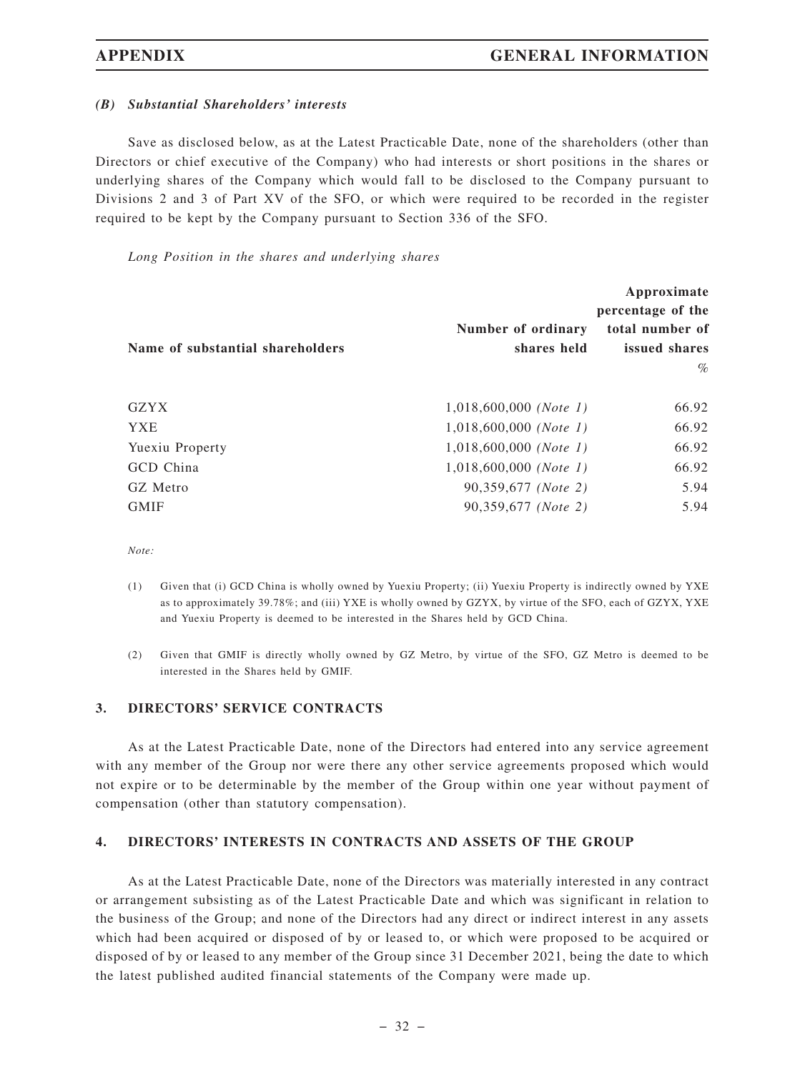#### *(B) Substantial Shareholders' interests*

Save as disclosed below, as at the Latest Practicable Date, none of the shareholders (other than Directors or chief executive of the Company) who had interests or short positions in the shares or underlying shares of the Company which would fall to be disclosed to the Company pursuant to Divisions 2 and 3 of Part XV of the SFO, or which were required to be recorded in the register required to be kept by the Company pursuant to Section 336 of the SFO.

*Long Position in the shares and underlying shares*

| Name of substantial shareholders | Number of ordinary<br>shares held | Approximate<br>percentage of the<br>total number of<br>issued shares |
|----------------------------------|-----------------------------------|----------------------------------------------------------------------|
|                                  |                                   | $\%$                                                                 |
| <b>GZYX</b>                      | $1,018,600,000$ (Note 1)          | 66.92                                                                |
| <b>YXE</b>                       | $1,018,600,000$ (Note 1)          | 66.92                                                                |
| Yuexiu Property                  | $1,018,600,000$ (Note 1)          | 66.92                                                                |
| GCD China                        | $1,018,600,000$ (Note 1)          | 66.92                                                                |
| GZ Metro                         | 90,359,677 (Note 2)               | 5.94                                                                 |
| <b>GMIF</b>                      | 90,359,677 (Note 2)               | 5.94                                                                 |

*Note:*

- (1) Given that (i) GCD China is wholly owned by Yuexiu Property; (ii) Yuexiu Property is indirectly owned by YXE as to approximately 39.78%; and (iii) YXE is wholly owned by GZYX, by virtue of the SFO, each of GZYX, YXE and Yuexiu Property is deemed to be interested in the Shares held by GCD China.
- (2) Given that GMIF is directly wholly owned by GZ Metro, by virtue of the SFO, GZ Metro is deemed to be interested in the Shares held by GMIF.

#### **3. DIRECTORS' SERVICE CONTRACTS**

As at the Latest Practicable Date, none of the Directors had entered into any service agreement with any member of the Group nor were there any other service agreements proposed which would not expire or to be determinable by the member of the Group within one year without payment of compensation (other than statutory compensation).

#### **4. DIRECTORS' INTERESTS IN CONTRACTS AND ASSETS OF THE GROUP**

As at the Latest Practicable Date, none of the Directors was materially interested in any contract or arrangement subsisting as of the Latest Practicable Date and which was significant in relation to the business of the Group; and none of the Directors had any direct or indirect interest in any assets which had been acquired or disposed of by or leased to, or which were proposed to be acquired or disposed of by or leased to any member of the Group since 31 December 2021, being the date to which the latest published audited financial statements of the Company were made up.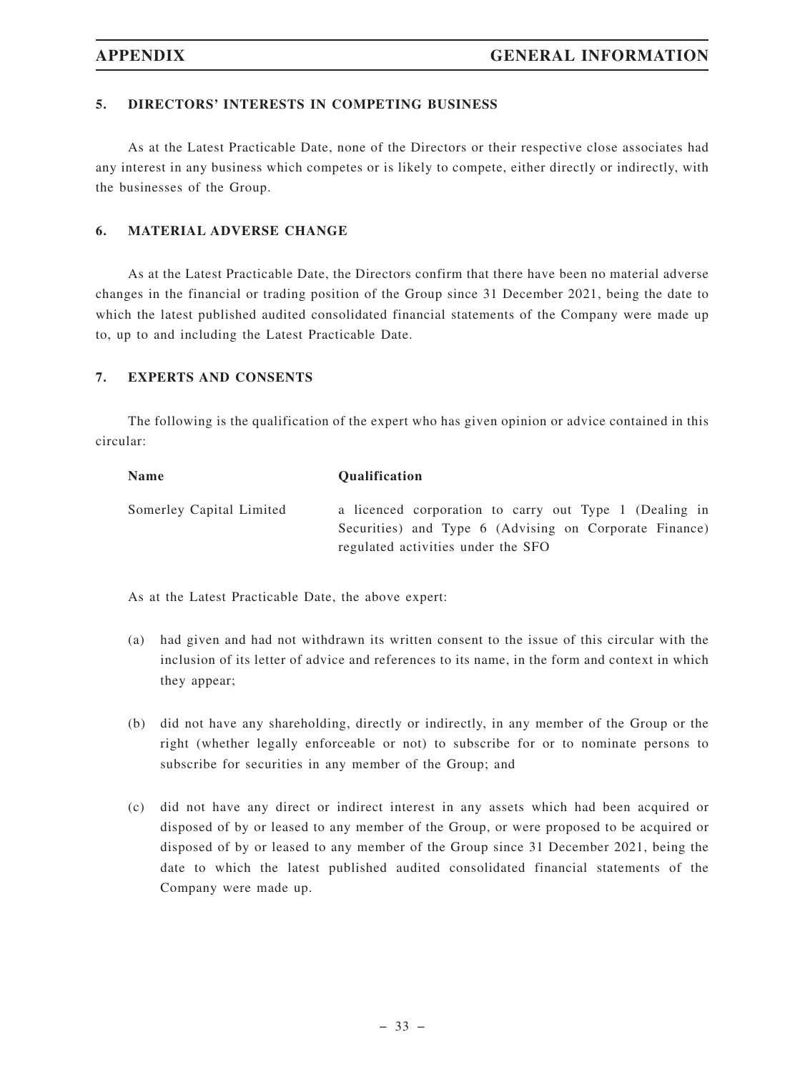# **5. DIRECTORS' INTERESTS IN COMPETING BUSINESS**

As at the Latest Practicable Date, none of the Directors or their respective close associates had any interest in any business which competes or is likely to compete, either directly or indirectly, with the businesses of the Group.

#### **6. MATERIAL ADVERSE CHANGE**

As at the Latest Practicable Date, the Directors confirm that there have been no material adverse changes in the financial or trading position of the Group since 31 December 2021, being the date to which the latest published audited consolidated financial statements of the Company were made up to, up to and including the Latest Practicable Date.

#### **7. EXPERTS AND CONSENTS**

The following is the qualification of the expert who has given opinion or advice contained in this circular:

| <b>Name</b>              | <b>Oualification</b>                                                                                                                                   |
|--------------------------|--------------------------------------------------------------------------------------------------------------------------------------------------------|
| Somerley Capital Limited | a licenced corporation to carry out Type 1 (Dealing in<br>Securities) and Type 6 (Advising on Corporate Finance)<br>regulated activities under the SFO |

As at the Latest Practicable Date, the above expert:

- (a) had given and had not withdrawn its written consent to the issue of this circular with the inclusion of its letter of advice and references to its name, in the form and context in which they appear;
- (b) did not have any shareholding, directly or indirectly, in any member of the Group or the right (whether legally enforceable or not) to subscribe for or to nominate persons to subscribe for securities in any member of the Group; and
- (c) did not have any direct or indirect interest in any assets which had been acquired or disposed of by or leased to any member of the Group, or were proposed to be acquired or disposed of by or leased to any member of the Group since 31 December 2021, being the date to which the latest published audited consolidated financial statements of the Company were made up.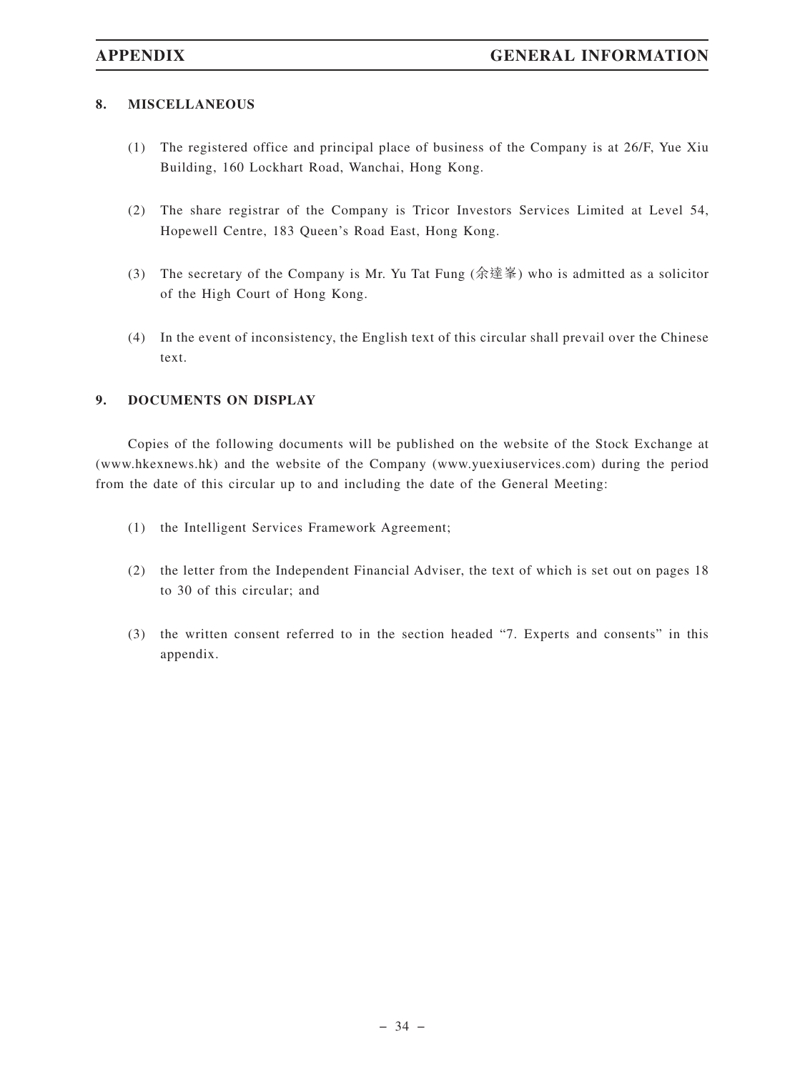### **8. MISCELLANEOUS**

- (1) The registered office and principal place of business of the Company is at 26/F, Yue Xiu Building, 160 Lockhart Road, Wanchai, Hong Kong.
- (2) The share registrar of the Company is Tricor Investors Services Limited at Level 54, Hopewell Centre, 183 Queen's Road East, Hong Kong.
- (3) The secretary of the Company is Mr. Yu Tat Fung (余達峯) who is admitted as a solicitor of the High Court of Hong Kong.
- (4) In the event of inconsistency, the English text of this circular shall prevail over the Chinese text.

# **9. DOCUMENTS ON DISPLAY**

Copies of the following documents will be published on the website of the Stock Exchange at (www.hkexnews.hk) and the website of the Company (www.yuexiuservices.com) during the period from the date of this circular up to and including the date of the General Meeting:

- (1) the Intelligent Services Framework Agreement;
- (2) the letter from the Independent Financial Adviser, the text of which is set out on pages 18 to 30 of this circular; and
- (3) the written consent referred to in the section headed "7. Experts and consents" in this appendix.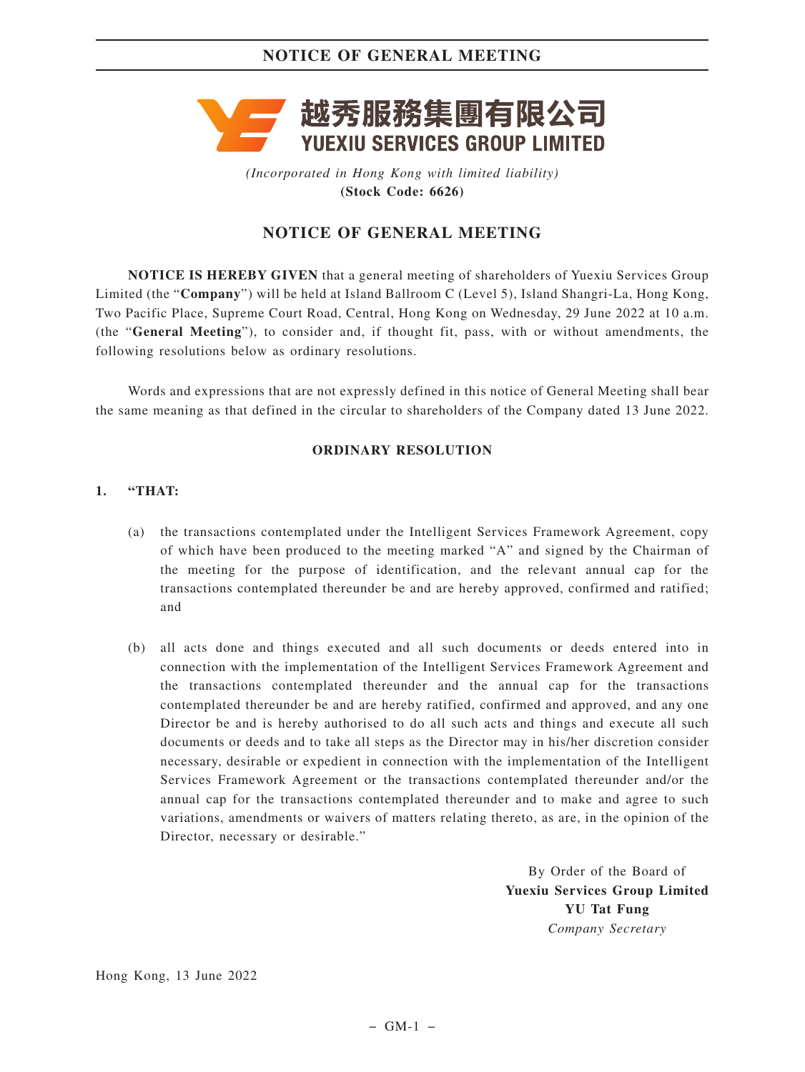

*(Incorporated in Hong Kong with limited liability)* **(Stock Code: 6626)**

# **NOTICE OF GENERAL MEETING**

**NOTICE IS HEREBY GIVEN** that a general meeting of shareholders of Yuexiu Services Group Limited (the "**Company**") will be held at Island Ballroom C (Level 5), Island Shangri-La, Hong Kong, Two Pacific Place, Supreme Court Road, Central, Hong Kong on Wednesday, 29 June 2022 at 10 a.m. (the "**General Meeting**"), to consider and, if thought fit, pass, with or without amendments, the following resolutions below as ordinary resolutions.

Words and expressions that are not expressly defined in this notice of General Meeting shall bear the same meaning as that defined in the circular to shareholders of the Company dated 13 June 2022.

### **ORDINARY RESOLUTION**

### **1. "THAT:**

- (a) the transactions contemplated under the Intelligent Services Framework Agreement, copy of which have been produced to the meeting marked "A" and signed by the Chairman of the meeting for the purpose of identification, and the relevant annual cap for the transactions contemplated thereunder be and are hereby approved, confirmed and ratified; and
- (b) all acts done and things executed and all such documents or deeds entered into in connection with the implementation of the Intelligent Services Framework Agreement and the transactions contemplated thereunder and the annual cap for the transactions contemplated thereunder be and are hereby ratified, confirmed and approved, and any one Director be and is hereby authorised to do all such acts and things and execute all such documents or deeds and to take all steps as the Director may in his/her discretion consider necessary, desirable or expedient in connection with the implementation of the Intelligent Services Framework Agreement or the transactions contemplated thereunder and/or the annual cap for the transactions contemplated thereunder and to make and agree to such variations, amendments or waivers of matters relating thereto, as are, in the opinion of the Director, necessary or desirable."

By Order of the Board of **Yuexiu Services Group Limited YU Tat Fung** *Company Secretary*

Hong Kong, 13 June 2022